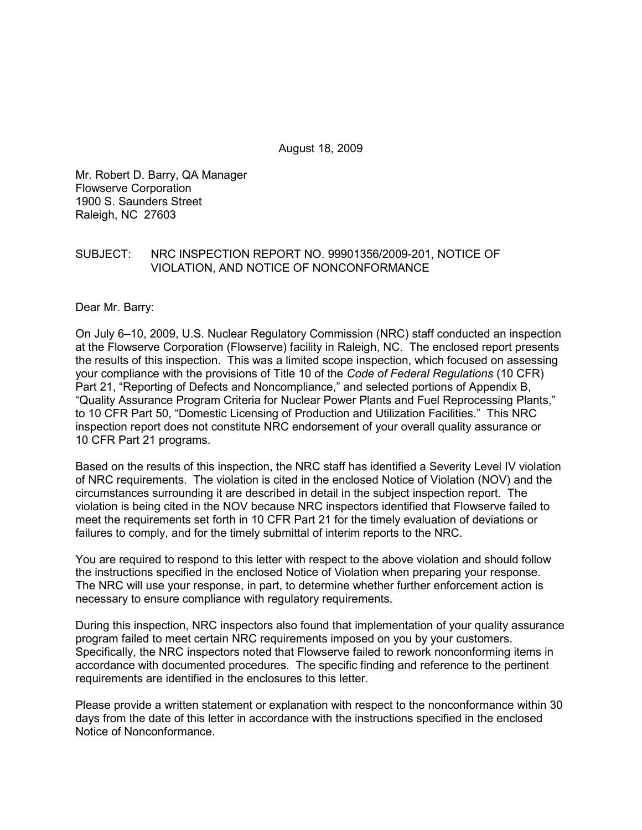August 18, 2009

Mr. Robert D. Barry, QA Manager Flowserve Corporation 1900 S. Saunders Street Raleigh, NC 27603

### SUBJECT: NRC INSPECTION REPORT NO. 99901356/2009-201, NOTICE OF VIOLATION, AND NOTICE OF NONCONFORMANCE

Dear Mr. Barry:

On July 6–10, 2009, U.S. Nuclear Regulatory Commission (NRC) staff conducted an inspection at the Flowserve Corporation (Flowserve) facility in Raleigh, NC. The enclosed report presents the results of this inspection. This was a limited scope inspection, which focused on assessing your compliance with the provisions of Title 10 of the *Code of Federal Regulations* (10 CFR) Part 21, "Reporting of Defects and Noncompliance," and selected portions of Appendix B, "Quality Assurance Program Criteria for Nuclear Power Plants and Fuel Reprocessing Plants," to 10 CFR Part 50, "Domestic Licensing of Production and Utilization Facilities." This NRC inspection report does not constitute NRC endorsement of your overall quality assurance or 10 CFR Part 21 programs.

Based on the results of this inspection, the NRC staff has identified a Severity Level IV violation of NRC requirements. The violation is cited in the enclosed Notice of Violation (NOV) and the circumstances surrounding it are described in detail in the subject inspection report. The violation is being cited in the NOV because NRC inspectors identified that Flowserve failed to meet the requirements set forth in 10 CFR Part 21 for the timely evaluation of deviations or failures to comply, and for the timely submittal of interim reports to the NRC.

You are required to respond to this letter with respect to the above violation and should follow the instructions specified in the enclosed Notice of Violation when preparing your response. The NRC will use your response, in part, to determine whether further enforcement action is necessary to ensure compliance with regulatory requirements.

During this inspection, NRC inspectors also found that implementation of your quality assurance program failed to meet certain NRC requirements imposed on you by your customers. Specifically, the NRC inspectors noted that Flowserve failed to rework nonconforming items in accordance with documented procedures. The specific finding and reference to the pertinent requirements are identified in the enclosures to this letter.

Please provide a written statement or explanation with respect to the nonconformance within 30 days from the date of this letter in accordance with the instructions specified in the enclosed Notice of Nonconformance.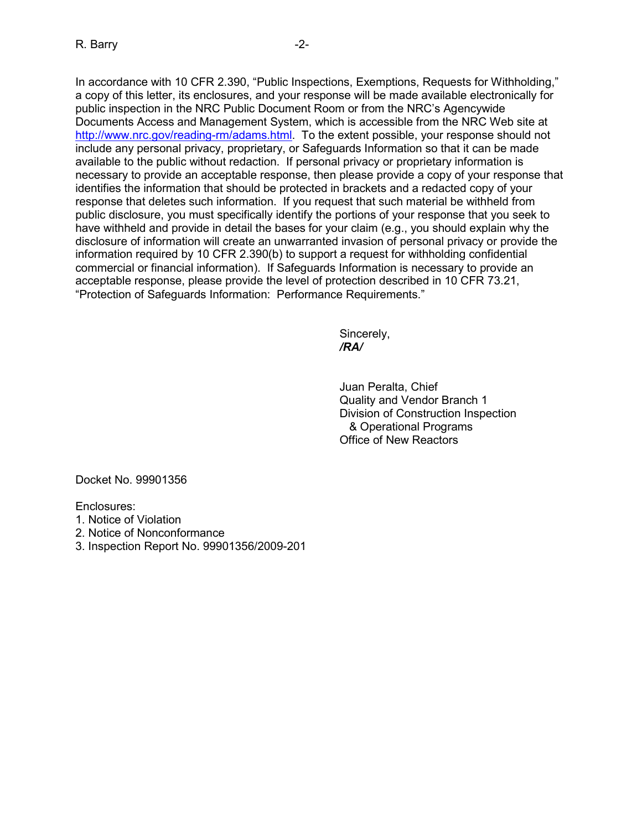In accordance with 10 CFR 2.390, "Public Inspections, Exemptions, Requests for Withholding," a copy of this letter, its enclosures, and your response will be made available electronically for public inspection in the NRC Public Document Room or from the NRC's Agencywide Documents Access and Management System, which is accessible from the NRC Web site at http://www.nrc.gov/reading-rm/adams.html. To the extent possible, your response should not include any personal privacy, proprietary, or Safeguards Information so that it can be made available to the public without redaction. If personal privacy or proprietary information is necessary to provide an acceptable response, then please provide a copy of your response that identifies the information that should be protected in brackets and a redacted copy of your response that deletes such information. If you request that such material be withheld from public disclosure, you must specifically identify the portions of your response that you seek to have withheld and provide in detail the bases for your claim (e.g., you should explain why the disclosure of information will create an unwarranted invasion of personal privacy or provide the information required by 10 CFR 2.390(b) to support a request for withholding confidential commercial or financial information). If Safeguards Information is necessary to provide an acceptable response, please provide the level of protection described in 10 CFR 73.21, "Protection of Safeguards Information: Performance Requirements."

 Sincerely, */RA/* 

> Juan Peralta, Chief Quality and Vendor Branch 1 Division of Construction Inspection & Operational Programs Office of New Reactors

Docket No. 99901356

Enclosures:

- 1. Notice of Violation
- 2. Notice of Nonconformance
- 3. Inspection Report No. 99901356/2009-201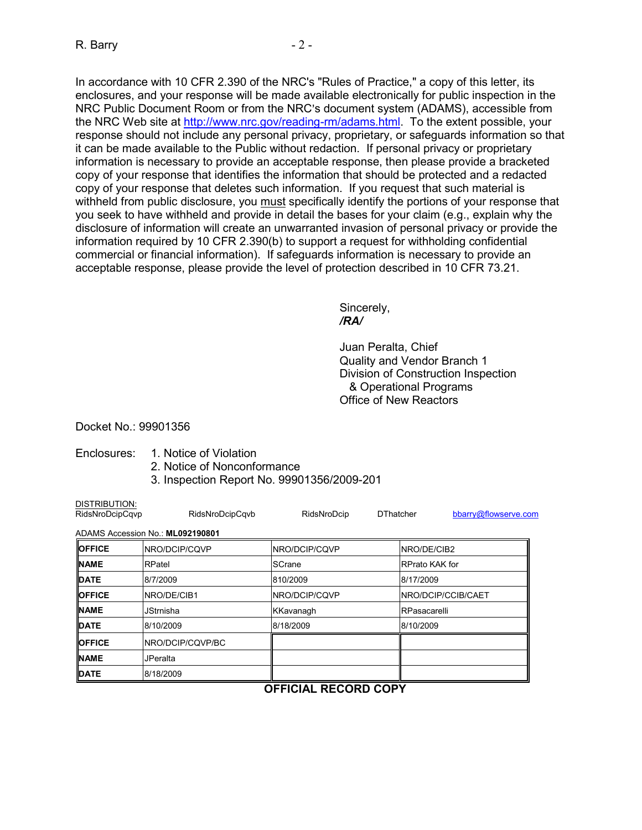In accordance with 10 CFR 2.390 of the NRC's "Rules of Practice," a copy of this letter, its enclosures, and your response will be made available electronically for public inspection in the NRC Public Document Room or from the NRC's document system (ADAMS), accessible from the NRC Web site at http://www.nrc.gov/reading-rm/adams.html. To the extent possible, your response should not include any personal privacy, proprietary, or safeguards information so that it can be made available to the Public without redaction. If personal privacy or proprietary information is necessary to provide an acceptable response, then please provide a bracketed copy of your response that identifies the information that should be protected and a redacted copy of your response that deletes such information. If you request that such material is withheld from public disclosure, you must specifically identify the portions of your response that you seek to have withheld and provide in detail the bases for your claim (e.g., explain why the disclosure of information will create an unwarranted invasion of personal privacy or provide the information required by 10 CFR 2.390(b) to support a request for withholding confidential commercial or financial information). If safeguards information is necessary to provide an acceptable response, please provide the level of protection described in 10 CFR 73.21.

 Sincerely, */RA/* 

> Juan Peralta, Chief Quality and Vendor Branch 1 Division of Construction Inspection & Operational Programs Office of New Reactors

Docket No.: 99901356

DISTRIBUTION:

## Enclosures: 1. Notice of Violation

- 2. Notice of Nonconformance
- 3. Inspection Report No. 99901356/2009-201

| RidsNroDcipCqvp | RidsNroDcipCqvb                  | RidsNroDcip      | <b>DThatcher</b>       | bbarry@flowserve.com       |  |
|-----------------|----------------------------------|------------------|------------------------|----------------------------|--|
|                 | ADAMS Accession No.: ML092190801 |                  |                        |                            |  |
| <b>OFFICE</b>   | <b>INRO/DCIP/CQVP</b>            | NRO/DCIP/CQVP    | <b>INRO/DE/CIB2</b>    |                            |  |
| <b>NAME</b>     | RPatel                           | SCrane           | <b>IRPrato KAK for</b> |                            |  |
| <b>DATE</b>     | 8/7/2009                         | 810/2009         | 8/17/2009              |                            |  |
| <b>OFFICE</b>   | <b>INRO/DE/CIB1</b>              | NRO/DCIP/CQVP    |                        | <b>INRO/DCIP/CCIB/CAET</b> |  |
| <b>NAME</b>     | <b>JStrnisha</b>                 | <b>KKavanagh</b> |                        | RPasacarelli               |  |
| <b>DATE</b>     | 8/10/2009                        | 8/18/2009        | 8/10/2009              |                            |  |
| <b>OFFICE</b>   | <b>INRO/DCIP/CQVP/BC</b>         |                  |                        |                            |  |
| <b>NAME</b>     | <b>JPeralta</b>                  |                  |                        |                            |  |
| <b>IDATE</b>    | 8/18/2009                        |                  |                        |                            |  |
|                 |                                  | <b>OEEICIAI</b>  | <b>DECODD CODV</b>     |                            |  |

# **OFFICIAL RECORD COPY**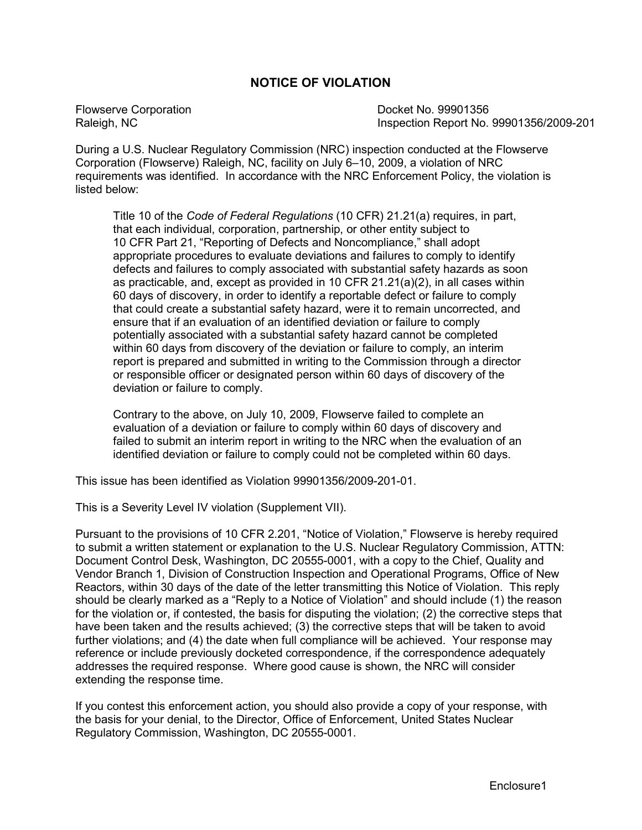# **NOTICE OF VIOLATION**

Flowserve Corporation **Docket No. 99901356** Raleigh, NC **Inspection Report No. 99901356/2009-201** 

During a U.S. Nuclear Regulatory Commission (NRC) inspection conducted at the Flowserve Corporation (Flowserve) Raleigh, NC, facility on July 6–10, 2009, a violation of NRC requirements was identified. In accordance with the NRC Enforcement Policy, the violation is listed below:

Title 10 of the *Code of Federal Regulations* (10 CFR) 21.21(a) requires, in part, that each individual, corporation, partnership, or other entity subject to 10 CFR Part 21, "Reporting of Defects and Noncompliance," shall adopt appropriate procedures to evaluate deviations and failures to comply to identify defects and failures to comply associated with substantial safety hazards as soon as practicable, and, except as provided in 10 CFR 21.21(a)(2), in all cases within 60 days of discovery, in order to identify a reportable defect or failure to comply that could create a substantial safety hazard, were it to remain uncorrected, and ensure that if an evaluation of an identified deviation or failure to comply potentially associated with a substantial safety hazard cannot be completed within 60 days from discovery of the deviation or failure to comply, an interim report is prepared and submitted in writing to the Commission through a director or responsible officer or designated person within 60 days of discovery of the deviation or failure to comply.

Contrary to the above, on July 10, 2009, Flowserve failed to complete an evaluation of a deviation or failure to comply within 60 days of discovery and failed to submit an interim report in writing to the NRC when the evaluation of an identified deviation or failure to comply could not be completed within 60 days.

This issue has been identified as Violation 99901356/2009-201-01.

This is a Severity Level IV violation (Supplement VII).

Pursuant to the provisions of 10 CFR 2.201, "Notice of Violation," Flowserve is hereby required to submit a written statement or explanation to the U.S. Nuclear Regulatory Commission, ATTN: Document Control Desk, Washington, DC 20555-0001, with a copy to the Chief, Quality and Vendor Branch 1, Division of Construction Inspection and Operational Programs, Office of New Reactors, within 30 days of the date of the letter transmitting this Notice of Violation. This reply should be clearly marked as a "Reply to a Notice of Violation" and should include (1) the reason for the violation or, if contested, the basis for disputing the violation; (2) the corrective steps that have been taken and the results achieved; (3) the corrective steps that will be taken to avoid further violations; and (4) the date when full compliance will be achieved. Your response may reference or include previously docketed correspondence, if the correspondence adequately addresses the required response. Where good cause is shown, the NRC will consider extending the response time.

If you contest this enforcement action, you should also provide a copy of your response, with the basis for your denial, to the Director, Office of Enforcement, United States Nuclear Regulatory Commission, Washington, DC 20555-0001.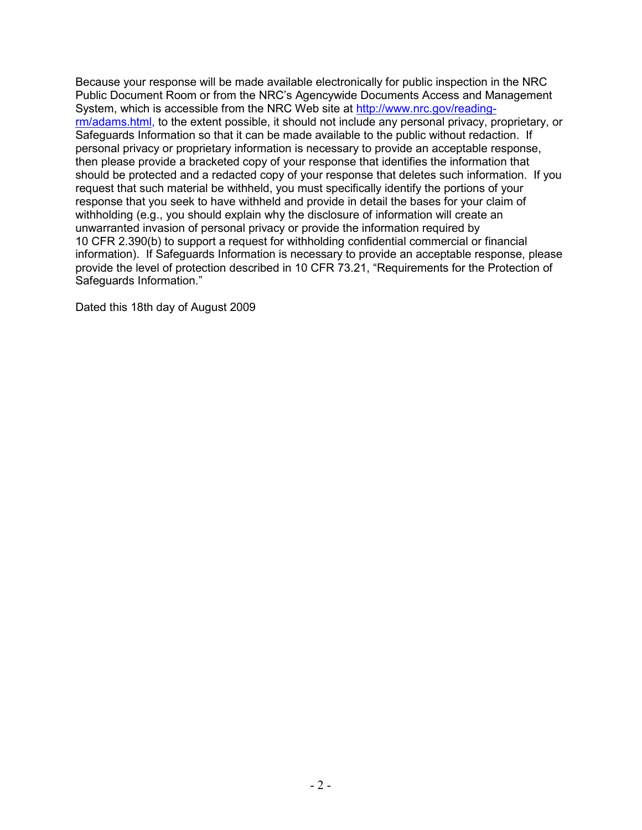Because your response will be made available electronically for public inspection in the NRC Public Document Room or from the NRC's Agencywide Documents Access and Management System, which is accessible from the NRC Web site at http://www.nrc.gov/readingrm/adams.html, to the extent possible, it should not include any personal privacy, proprietary, or Safeguards Information so that it can be made available to the public without redaction. If personal privacy or proprietary information is necessary to provide an acceptable response, then please provide a bracketed copy of your response that identifies the information that should be protected and a redacted copy of your response that deletes such information. If you request that such material be withheld, you must specifically identify the portions of your response that you seek to have withheld and provide in detail the bases for your claim of withholding (e.g., you should explain why the disclosure of information will create an unwarranted invasion of personal privacy or provide the information required by 10 CFR 2.390(b) to support a request for withholding confidential commercial or financial information). If Safeguards Information is necessary to provide an acceptable response, please provide the level of protection described in 10 CFR 73.21, "Requirements for the Protection of Safeguards Information."

Dated this 18th day of August 2009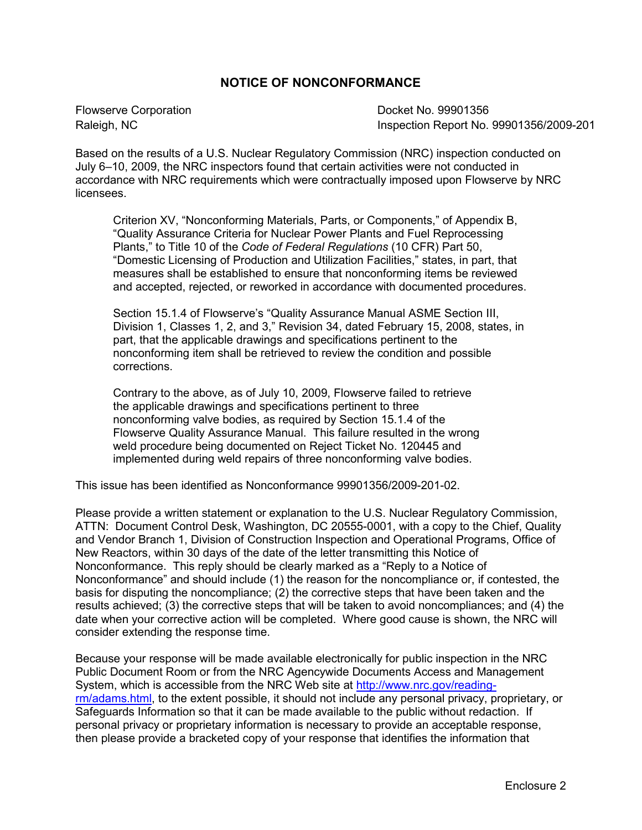## **NOTICE OF NONCONFORMANCE**

Flowserve Corporation Docket No. 99901356

Raleigh, NC **Inspection Report No. 99901356/2009-201** 

Based on the results of a U.S. Nuclear Regulatory Commission (NRC) inspection conducted on July 6–10, 2009, the NRC inspectors found that certain activities were not conducted in accordance with NRC requirements which were contractually imposed upon Flowserve by NRC licensees.

Criterion XV, "Nonconforming Materials, Parts, or Components," of Appendix B, "Quality Assurance Criteria for Nuclear Power Plants and Fuel Reprocessing Plants," to Title 10 of the *Code of Federal Regulations* (10 CFR) Part 50, "Domestic Licensing of Production and Utilization Facilities," states, in part, that measures shall be established to ensure that nonconforming items be reviewed and accepted, rejected, or reworked in accordance with documented procedures.

Section 15.1.4 of Flowserve's "Quality Assurance Manual ASME Section III, Division 1, Classes 1, 2, and 3," Revision 34, dated February 15, 2008, states, in part, that the applicable drawings and specifications pertinent to the nonconforming item shall be retrieved to review the condition and possible corrections.

Contrary to the above, as of July 10, 2009, Flowserve failed to retrieve the applicable drawings and specifications pertinent to three nonconforming valve bodies, as required by Section 15.1.4 of the Flowserve Quality Assurance Manual. This failure resulted in the wrong weld procedure being documented on Reject Ticket No. 120445 and implemented during weld repairs of three nonconforming valve bodies.

This issue has been identified as Nonconformance 99901356/2009-201-02.

Please provide a written statement or explanation to the U.S. Nuclear Regulatory Commission, ATTN: Document Control Desk, Washington, DC 20555-0001, with a copy to the Chief, Quality and Vendor Branch 1, Division of Construction Inspection and Operational Programs, Office of New Reactors, within 30 days of the date of the letter transmitting this Notice of Nonconformance. This reply should be clearly marked as a "Reply to a Notice of Nonconformance" and should include (1) the reason for the noncompliance or, if contested, the basis for disputing the noncompliance; (2) the corrective steps that have been taken and the results achieved; (3) the corrective steps that will be taken to avoid noncompliances; and (4) the date when your corrective action will be completed. Where good cause is shown, the NRC will consider extending the response time.

Because your response will be made available electronically for public inspection in the NRC Public Document Room or from the NRC Agencywide Documents Access and Management System, which is accessible from the NRC Web site at http://www.nrc.gov/readingrm/adams.html, to the extent possible, it should not include any personal privacy, proprietary, or Safeguards Information so that it can be made available to the public without redaction. If personal privacy or proprietary information is necessary to provide an acceptable response, then please provide a bracketed copy of your response that identifies the information that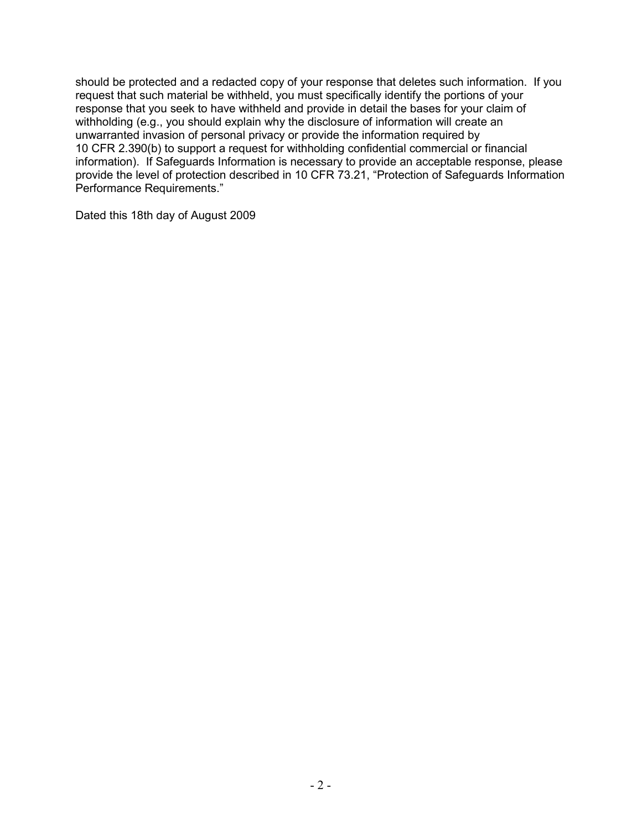should be protected and a redacted copy of your response that deletes such information. If you request that such material be withheld, you must specifically identify the portions of your response that you seek to have withheld and provide in detail the bases for your claim of withholding (e.g., you should explain why the disclosure of information will create an unwarranted invasion of personal privacy or provide the information required by 10 CFR 2.390(b) to support a request for withholding confidential commercial or financial information). If Safeguards Information is necessary to provide an acceptable response, please provide the level of protection described in 10 CFR 73.21, "Protection of Safeguards Information Performance Requirements."

Dated this 18th day of August 2009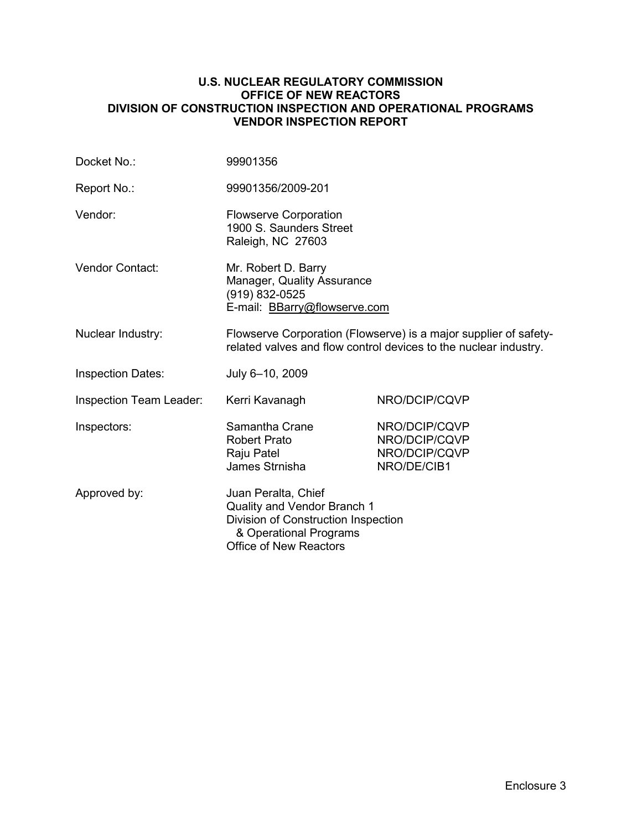### **U.S. NUCLEAR REGULATORY COMMISSION OFFICE OF NEW REACTORS DIVISION OF CONSTRUCTION INSPECTION AND OPERATIONAL PROGRAMS VENDOR INSPECTION REPORT**

| Docket No.:              | 99901356                                                                                                                                             |                                                                |  |
|--------------------------|------------------------------------------------------------------------------------------------------------------------------------------------------|----------------------------------------------------------------|--|
| Report No.:              | 99901356/2009-201                                                                                                                                    |                                                                |  |
| Vendor:                  | <b>Flowserve Corporation</b><br>1900 S. Saunders Street<br>Raleigh, NC 27603                                                                         |                                                                |  |
| Vendor Contact:          | Mr. Robert D. Barry<br>Manager, Quality Assurance<br>(919) 832-0525<br>E-mail: <b>BBarry@flowserve.com</b>                                           |                                                                |  |
| Nuclear Industry:        | Flowserve Corporation (Flowserve) is a major supplier of safety-<br>related valves and flow control devices to the nuclear industry.                 |                                                                |  |
| <b>Inspection Dates:</b> | July 6-10, 2009                                                                                                                                      |                                                                |  |
| Inspection Team Leader:  | Kerri Kavanagh                                                                                                                                       | NRO/DCIP/CQVP                                                  |  |
| Inspectors:              | Samantha Crane<br><b>Robert Prato</b><br>Raju Patel<br>James Strnisha                                                                                | NRO/DCIP/CQVP<br>NRO/DCIP/CQVP<br>NRO/DCIP/CQVP<br>NRO/DE/CIB1 |  |
| Approved by:             | Juan Peralta, Chief<br>Quality and Vendor Branch 1<br>Division of Construction Inspection<br>& Operational Programs<br><b>Office of New Reactors</b> |                                                                |  |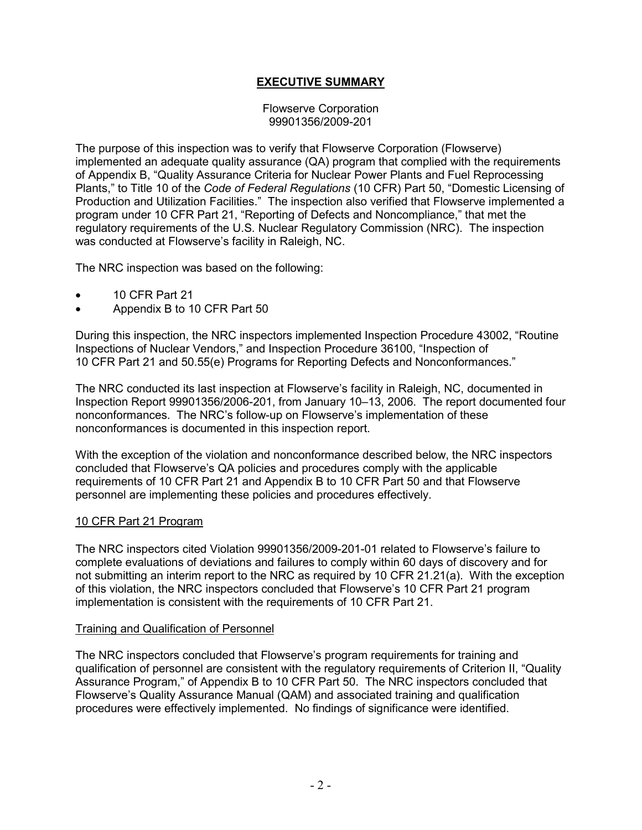## **EXECUTIVE SUMMARY**

Flowserve Corporation 99901356/2009-201

The purpose of this inspection was to verify that Flowserve Corporation (Flowserve) implemented an adequate quality assurance (QA) program that complied with the requirements of Appendix B, "Quality Assurance Criteria for Nuclear Power Plants and Fuel Reprocessing Plants," to Title 10 of the *Code of Federal Regulations* (10 CFR) Part 50, "Domestic Licensing of Production and Utilization Facilities." The inspection also verified that Flowserve implemented a program under 10 CFR Part 21, "Reporting of Defects and Noncompliance," that met the regulatory requirements of the U.S. Nuclear Regulatory Commission (NRC). The inspection was conducted at Flowserve's facility in Raleigh, NC.

The NRC inspection was based on the following:

- 10 CFR Part 21
- Appendix B to 10 CFR Part 50

During this inspection, the NRC inspectors implemented Inspection Procedure 43002, "Routine Inspections of Nuclear Vendors," and Inspection Procedure 36100, "Inspection of 10 CFR Part 21 and 50.55(e) Programs for Reporting Defects and Nonconformances."

The NRC conducted its last inspection at Flowserve's facility in Raleigh, NC, documented in Inspection Report 99901356/2006-201, from January 10–13, 2006. The report documented four nonconformances. The NRC's follow-up on Flowserve's implementation of these nonconformances is documented in this inspection report.

With the exception of the violation and nonconformance described below, the NRC inspectors concluded that Flowserve's QA policies and procedures comply with the applicable requirements of 10 CFR Part 21 and Appendix B to 10 CFR Part 50 and that Flowserve personnel are implementing these policies and procedures effectively.

#### 10 CFR Part 21 Program

The NRC inspectors cited Violation 99901356/2009-201-01 related to Flowserve's failure to complete evaluations of deviations and failures to comply within 60 days of discovery and for not submitting an interim report to the NRC as required by 10 CFR 21.21(a). With the exception of this violation, the NRC inspectors concluded that Flowserve's 10 CFR Part 21 program implementation is consistent with the requirements of 10 CFR Part 21.

#### Training and Qualification of Personnel

The NRC inspectors concluded that Flowserve's program requirements for training and qualification of personnel are consistent with the regulatory requirements of Criterion II, "Quality Assurance Program," of Appendix B to 10 CFR Part 50. The NRC inspectors concluded that Flowserve's Quality Assurance Manual (QAM) and associated training and qualification procedures were effectively implemented. No findings of significance were identified.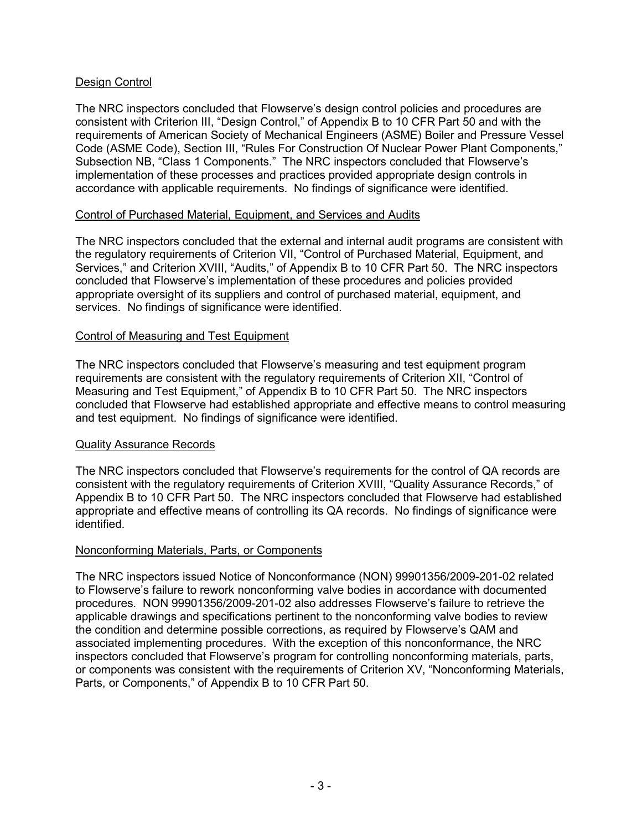## Design Control

The NRC inspectors concluded that Flowserve's design control policies and procedures are consistent with Criterion III, "Design Control," of Appendix B to 10 CFR Part 50 and with the requirements of American Society of Mechanical Engineers (ASME) Boiler and Pressure Vessel Code (ASME Code), Section III, "Rules For Construction Of Nuclear Power Plant Components," Subsection NB, "Class 1 Components." The NRC inspectors concluded that Flowserve's implementation of these processes and practices provided appropriate design controls in accordance with applicable requirements. No findings of significance were identified.

## Control of Purchased Material, Equipment, and Services and Audits

The NRC inspectors concluded that the external and internal audit programs are consistent with the regulatory requirements of Criterion VII, "Control of Purchased Material, Equipment, and Services," and Criterion XVIII, "Audits," of Appendix B to 10 CFR Part 50. The NRC inspectors concluded that Flowserve's implementation of these procedures and policies provided appropriate oversight of its suppliers and control of purchased material, equipment, and services. No findings of significance were identified.

## Control of Measuring and Test Equipment

The NRC inspectors concluded that Flowserve's measuring and test equipment program requirements are consistent with the regulatory requirements of Criterion XII, "Control of Measuring and Test Equipment," of Appendix B to 10 CFR Part 50. The NRC inspectors concluded that Flowserve had established appropriate and effective means to control measuring and test equipment. No findings of significance were identified.

## Quality Assurance Records

The NRC inspectors concluded that Flowserve's requirements for the control of QA records are consistent with the regulatory requirements of Criterion XVIII, "Quality Assurance Records," of Appendix B to 10 CFR Part 50. The NRC inspectors concluded that Flowserve had established appropriate and effective means of controlling its QA records. No findings of significance were identified.

## Nonconforming Materials, Parts, or Components

The NRC inspectors issued Notice of Nonconformance (NON) 99901356/2009-201-02 related to Flowserve's failure to rework nonconforming valve bodies in accordance with documented procedures. NON 99901356/2009-201-02 also addresses Flowserve's failure to retrieve the applicable drawings and specifications pertinent to the nonconforming valve bodies to review the condition and determine possible corrections, as required by Flowserve's QAM and associated implementing procedures. With the exception of this nonconformance, the NRC inspectors concluded that Flowserve's program for controlling nonconforming materials, parts, or components was consistent with the requirements of Criterion XV, "Nonconforming Materials, Parts, or Components," of Appendix B to 10 CFR Part 50.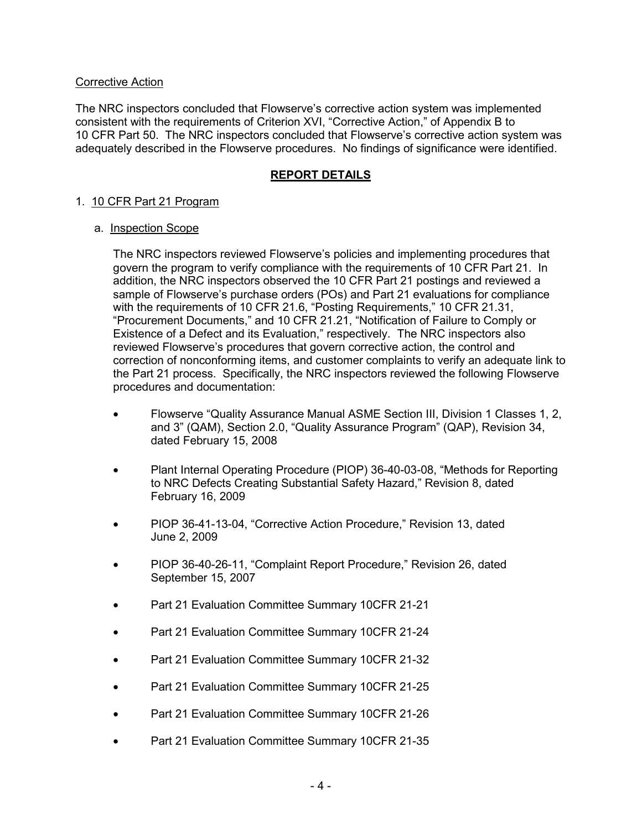### Corrective Action

The NRC inspectors concluded that Flowserve's corrective action system was implemented consistent with the requirements of Criterion XVI, "Corrective Action," of Appendix B to 10 CFR Part 50. The NRC inspectors concluded that Flowserve's corrective action system was adequately described in the Flowserve procedures. No findings of significance were identified.

## **REPORT DETAILS**

## 1. 10 CFR Part 21 Program

#### a. Inspection Scope

The NRC inspectors reviewed Flowserve's policies and implementing procedures that govern the program to verify compliance with the requirements of 10 CFR Part 21. In addition, the NRC inspectors observed the 10 CFR Part 21 postings and reviewed a sample of Flowserve's purchase orders (POs) and Part 21 evaluations for compliance with the requirements of 10 CFR 21.6, "Posting Requirements," 10 CFR 21.31, "Procurement Documents," and 10 CFR 21.21, "Notification of Failure to Comply or Existence of a Defect and its Evaluation," respectively. The NRC inspectors also reviewed Flowserve's procedures that govern corrective action, the control and correction of nonconforming items, and customer complaints to verify an adequate link to the Part 21 process. Specifically, the NRC inspectors reviewed the following Flowserve procedures and documentation:

- Flowserve "Quality Assurance Manual ASME Section III, Division 1 Classes 1, 2, and 3" (QAM), Section 2.0, "Quality Assurance Program" (QAP), Revision 34, dated February 15, 2008
- Plant Internal Operating Procedure (PIOP) 36-40-03-08, "Methods for Reporting to NRC Defects Creating Substantial Safety Hazard," Revision 8, dated February 16, 2009
- PIOP 36-41-13-04, "Corrective Action Procedure," Revision 13, dated June 2, 2009
- PIOP 36-40-26-11, "Complaint Report Procedure," Revision 26, dated September 15, 2007
- Part 21 Evaluation Committee Summary 10CFR 21-21
- Part 21 Evaluation Committee Summary 10CFR 21-24
- Part 21 Evaluation Committee Summary 10CFR 21-32
- Part 21 Evaluation Committee Summary 10CFR 21-25
- Part 21 Evaluation Committee Summary 10CFR 21-26
- Part 21 Evaluation Committee Summary 10CFR 21-35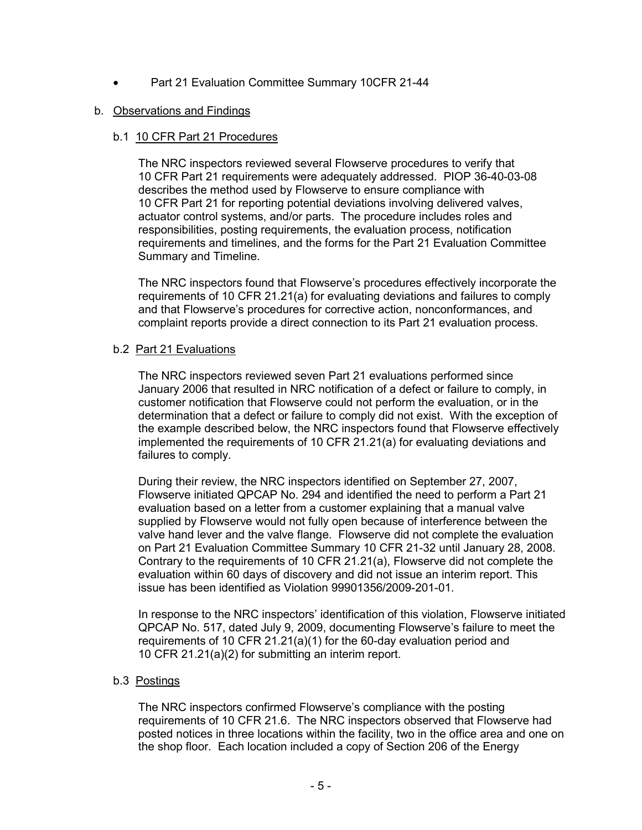• Part 21 Evaluation Committee Summary 10CFR 21-44

## b. Observations and Findings

## b.1 10 CFR Part 21 Procedures

The NRC inspectors reviewed several Flowserve procedures to verify that 10 CFR Part 21 requirements were adequately addressed. PIOP 36-40-03-08 describes the method used by Flowserve to ensure compliance with 10 CFR Part 21 for reporting potential deviations involving delivered valves, actuator control systems, and/or parts. The procedure includes roles and responsibilities, posting requirements, the evaluation process, notification requirements and timelines, and the forms for the Part 21 Evaluation Committee Summary and Timeline.

The NRC inspectors found that Flowserve's procedures effectively incorporate the requirements of 10 CFR 21.21(a) for evaluating deviations and failures to comply and that Flowserve's procedures for corrective action, nonconformances, and complaint reports provide a direct connection to its Part 21 evaluation process.

## b.2 Part 21 Evaluations

The NRC inspectors reviewed seven Part 21 evaluations performed since January 2006 that resulted in NRC notification of a defect or failure to comply, in customer notification that Flowserve could not perform the evaluation, or in the determination that a defect or failure to comply did not exist. With the exception of the example described below, the NRC inspectors found that Flowserve effectively implemented the requirements of 10 CFR 21.21(a) for evaluating deviations and failures to comply.

During their review, the NRC inspectors identified on September 27, 2007, Flowserve initiated QPCAP No. 294 and identified the need to perform a Part 21 evaluation based on a letter from a customer explaining that a manual valve supplied by Flowserve would not fully open because of interference between the valve hand lever and the valve flange. Flowserve did not complete the evaluation on Part 21 Evaluation Committee Summary 10 CFR 21-32 until January 28, 2008. Contrary to the requirements of 10 CFR 21.21(a), Flowserve did not complete the evaluation within 60 days of discovery and did not issue an interim report. This issue has been identified as Violation 99901356/2009-201-01.

In response to the NRC inspectors' identification of this violation, Flowserve initiated QPCAP No. 517, dated July 9, 2009, documenting Flowserve's failure to meet the requirements of 10 CFR 21.21(a)(1) for the 60-day evaluation period and 10 CFR 21.21(a)(2) for submitting an interim report.

## b.3 Postings

The NRC inspectors confirmed Flowserve's compliance with the posting requirements of 10 CFR 21.6. The NRC inspectors observed that Flowserve had posted notices in three locations within the facility, two in the office area and one on the shop floor. Each location included a copy of Section 206 of the Energy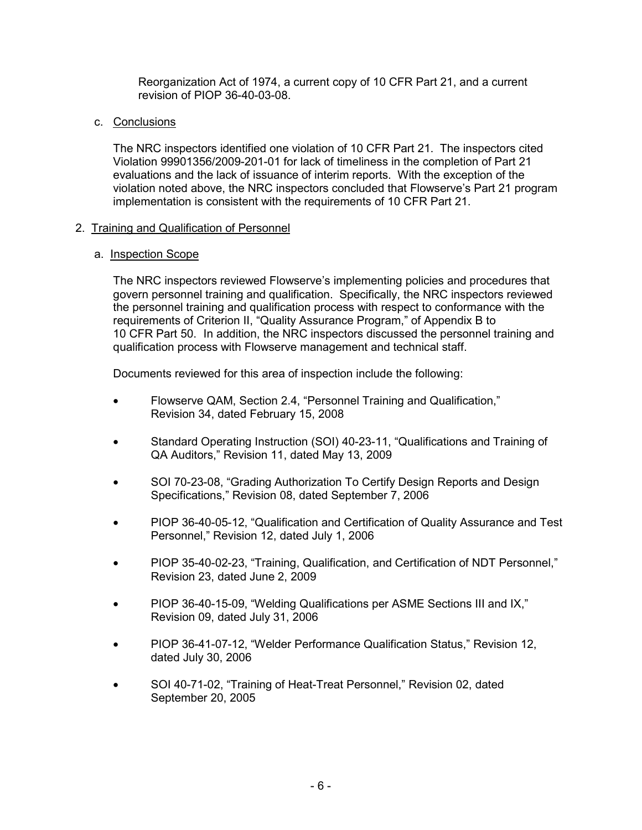Reorganization Act of 1974, a current copy of 10 CFR Part 21, and a current revision of PIOP 36-40-03-08.

### c. Conclusions

The NRC inspectors identified one violation of 10 CFR Part 21. The inspectors cited Violation 99901356/2009-201-01 for lack of timeliness in the completion of Part 21 evaluations and the lack of issuance of interim reports. With the exception of the violation noted above, the NRC inspectors concluded that Flowserve's Part 21 program implementation is consistent with the requirements of 10 CFR Part 21.

### 2. Training and Qualification of Personnel

### a. Inspection Scope

The NRC inspectors reviewed Flowserve's implementing policies and procedures that govern personnel training and qualification. Specifically, the NRC inspectors reviewed the personnel training and qualification process with respect to conformance with the requirements of Criterion II, "Quality Assurance Program," of Appendix B to 10 CFR Part 50. In addition, the NRC inspectors discussed the personnel training and qualification process with Flowserve management and technical staff.

Documents reviewed for this area of inspection include the following:

- Flowserve QAM, Section 2.4, "Personnel Training and Qualification," Revision 34, dated February 15, 2008
- Standard Operating Instruction (SOI) 40-23-11, "Qualifications and Training of QA Auditors," Revision 11, dated May 13, 2009
- SOI 70-23-08, "Grading Authorization To Certify Design Reports and Design Specifications," Revision 08, dated September 7, 2006
- PIOP 36-40-05-12, "Qualification and Certification of Quality Assurance and Test Personnel," Revision 12, dated July 1, 2006
- PIOP 35-40-02-23, "Training, Qualification, and Certification of NDT Personnel," Revision 23, dated June 2, 2009
- PIOP 36-40-15-09, "Welding Qualifications per ASME Sections III and IX," Revision 09, dated July 31, 2006
- PIOP 36-41-07-12, "Welder Performance Qualification Status," Revision 12, dated July 30, 2006
- SOI 40-71-02, "Training of Heat-Treat Personnel," Revision 02, dated September 20, 2005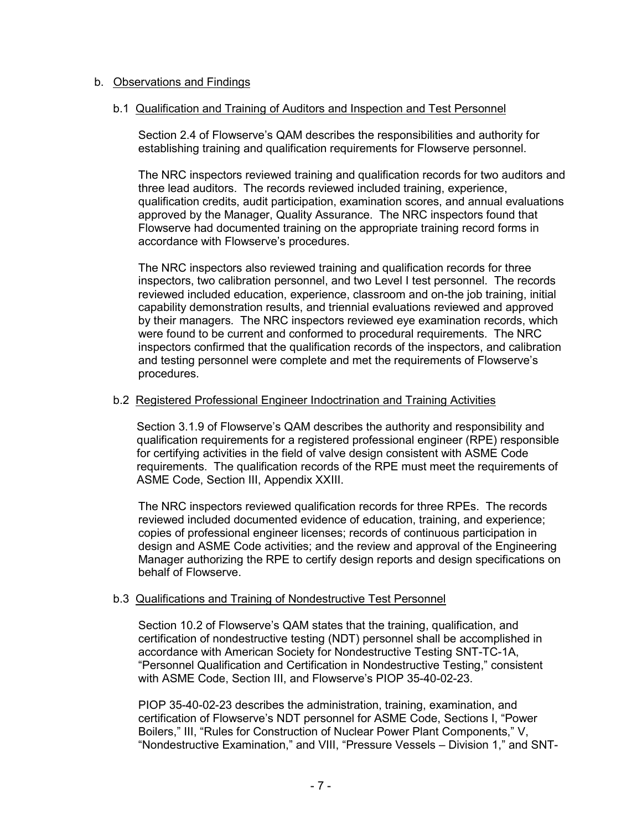### b. Observations and Findings

### b.1 Qualification and Training of Auditors and Inspection and Test Personnel

Section 2.4 of Flowserve's QAM describes the responsibilities and authority for establishing training and qualification requirements for Flowserve personnel.

The NRC inspectors reviewed training and qualification records for two auditors and three lead auditors. The records reviewed included training, experience, qualification credits, audit participation, examination scores, and annual evaluations approved by the Manager, Quality Assurance. The NRC inspectors found that Flowserve had documented training on the appropriate training record forms in accordance with Flowserve's procedures.

The NRC inspectors also reviewed training and qualification records for three inspectors, two calibration personnel, and two Level I test personnel. The records reviewed included education, experience, classroom and on-the job training, initial capability demonstration results, and triennial evaluations reviewed and approved by their managers. The NRC inspectors reviewed eye examination records, which were found to be current and conformed to procedural requirements. The NRC inspectors confirmed that the qualification records of the inspectors, and calibration and testing personnel were complete and met the requirements of Flowserve's procedures.

### b.2 Registered Professional Engineer Indoctrination and Training Activities

Section 3.1.9 of Flowserve's QAM describes the authority and responsibility and qualification requirements for a registered professional engineer (RPE) responsible for certifying activities in the field of valve design consistent with ASME Code requirements. The qualification records of the RPE must meet the requirements of ASME Code, Section III, Appendix XXIII.

The NRC inspectors reviewed qualification records for three RPEs. The records reviewed included documented evidence of education, training, and experience; copies of professional engineer licenses; records of continuous participation in design and ASME Code activities; and the review and approval of the Engineering Manager authorizing the RPE to certify design reports and design specifications on behalf of Flowserve.

#### b.3 Qualifications and Training of Nondestructive Test Personnel

Section 10.2 of Flowserve's QAM states that the training, qualification, and certification of nondestructive testing (NDT) personnel shall be accomplished in accordance with American Society for Nondestructive Testing SNT-TC-1A, "Personnel Qualification and Certification in Nondestructive Testing," consistent with ASME Code, Section III, and Flowserve's PIOP 35-40-02-23.

PIOP 35-40-02-23 describes the administration, training, examination, and certification of Flowserve's NDT personnel for ASME Code, Sections I, "Power Boilers," III, "Rules for Construction of Nuclear Power Plant Components," V, "Nondestructive Examination," and VIII, "Pressure Vessels – Division 1," and SNT-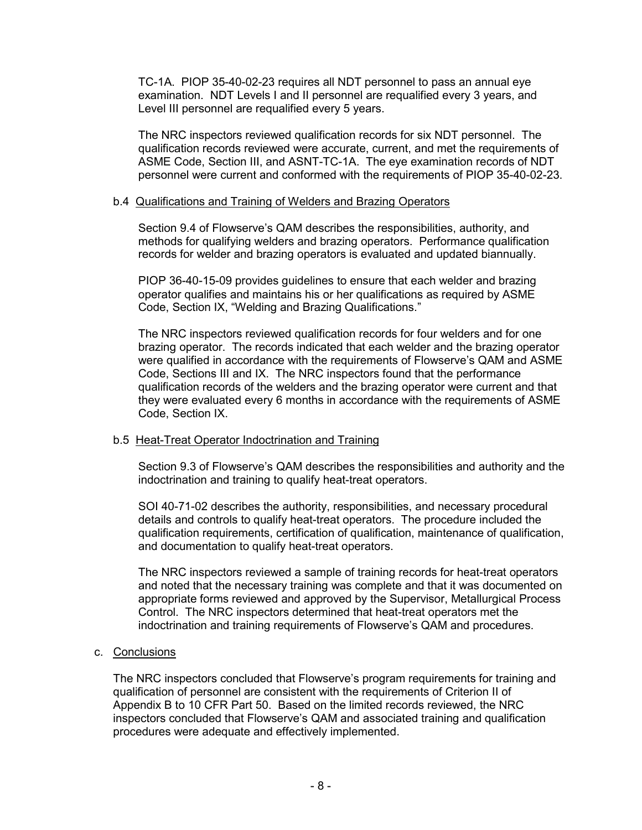TC-1A. PIOP 35-40-02-23 requires all NDT personnel to pass an annual eye examination. NDT Levels I and II personnel are requalified every 3 years, and Level III personnel are requalified every 5 years.

The NRC inspectors reviewed qualification records for six NDT personnel. The qualification records reviewed were accurate, current, and met the requirements of ASME Code, Section III, and ASNT-TC-1A. The eye examination records of NDT personnel were current and conformed with the requirements of PIOP 35-40-02-23.

### b.4 Qualifications and Training of Welders and Brazing Operators

Section 9.4 of Flowserve's QAM describes the responsibilities, authority, and methods for qualifying welders and brazing operators. Performance qualification records for welder and brazing operators is evaluated and updated biannually.

PIOP 36-40-15-09 provides guidelines to ensure that each welder and brazing operator qualifies and maintains his or her qualifications as required by ASME Code, Section IX, "Welding and Brazing Qualifications."

The NRC inspectors reviewed qualification records for four welders and for one brazing operator. The records indicated that each welder and the brazing operator were qualified in accordance with the requirements of Flowserve's QAM and ASME Code, Sections III and IX. The NRC inspectors found that the performance qualification records of the welders and the brazing operator were current and that they were evaluated every 6 months in accordance with the requirements of ASME Code, Section IX.

## b.5 Heat-Treat Operator Indoctrination and Training

Section 9.3 of Flowserve's QAM describes the responsibilities and authority and the indoctrination and training to qualify heat-treat operators.

SOI 40-71-02 describes the authority, responsibilities, and necessary procedural details and controls to qualify heat-treat operators. The procedure included the qualification requirements, certification of qualification, maintenance of qualification, and documentation to qualify heat-treat operators.

The NRC inspectors reviewed a sample of training records for heat-treat operators and noted that the necessary training was complete and that it was documented on appropriate forms reviewed and approved by the Supervisor, Metallurgical Process Control. The NRC inspectors determined that heat-treat operators met the indoctrination and training requirements of Flowserve's QAM and procedures.

#### c. Conclusions

The NRC inspectors concluded that Flowserve's program requirements for training and qualification of personnel are consistent with the requirements of Criterion II of Appendix B to 10 CFR Part 50. Based on the limited records reviewed, the NRC inspectors concluded that Flowserve's QAM and associated training and qualification procedures were adequate and effectively implemented.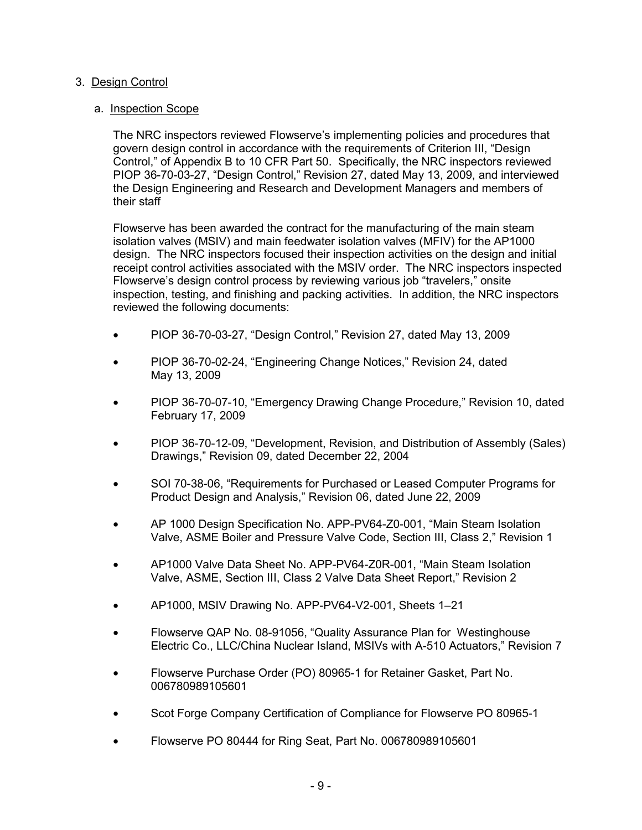## 3. Design Control

## a. Inspection Scope

The NRC inspectors reviewed Flowserve's implementing policies and procedures that govern design control in accordance with the requirements of Criterion III, "Design Control," of Appendix B to 10 CFR Part 50. Specifically, the NRC inspectors reviewed PIOP 36-70-03-27, "Design Control," Revision 27, dated May 13, 2009, and interviewed the Design Engineering and Research and Development Managers and members of their staff

Flowserve has been awarded the contract for the manufacturing of the main steam isolation valves (MSIV) and main feedwater isolation valves (MFIV) for the AP1000 design. The NRC inspectors focused their inspection activities on the design and initial receipt control activities associated with the MSIV order. The NRC inspectors inspected Flowserve's design control process by reviewing various job "travelers," onsite inspection, testing, and finishing and packing activities. In addition, the NRC inspectors reviewed the following documents:

- PIOP 36-70-03-27, "Design Control," Revision 27, dated May 13, 2009
- PIOP 36-70-02-24, "Engineering Change Notices," Revision 24, dated May 13, 2009
- PIOP 36-70-07-10, "Emergency Drawing Change Procedure," Revision 10, dated February 17, 2009
- PIOP 36-70-12-09, "Development, Revision, and Distribution of Assembly (Sales) Drawings," Revision 09, dated December 22, 2004
- SOI 70-38-06, "Requirements for Purchased or Leased Computer Programs for Product Design and Analysis," Revision 06, dated June 22, 2009
- AP 1000 Design Specification No. APP-PV64-Z0-001, "Main Steam Isolation Valve, ASME Boiler and Pressure Valve Code, Section III, Class 2," Revision 1
- AP1000 Valve Data Sheet No. APP-PV64-Z0R-001, "Main Steam Isolation Valve, ASME, Section III, Class 2 Valve Data Sheet Report," Revision 2
- AP1000, MSIV Drawing No. APP-PV64-V2-001, Sheets 1–21
- Flowserve QAP No. 08-91056, "Quality Assurance Plan for Westinghouse Electric Co., LLC/China Nuclear Island, MSIVs with A-510 Actuators," Revision 7
- Flowserve Purchase Order (PO) 80965-1 for Retainer Gasket, Part No. 006780989105601
- Scot Forge Company Certification of Compliance for Flowserve PO 80965-1
- Flowserve PO 80444 for Ring Seat, Part No. 006780989105601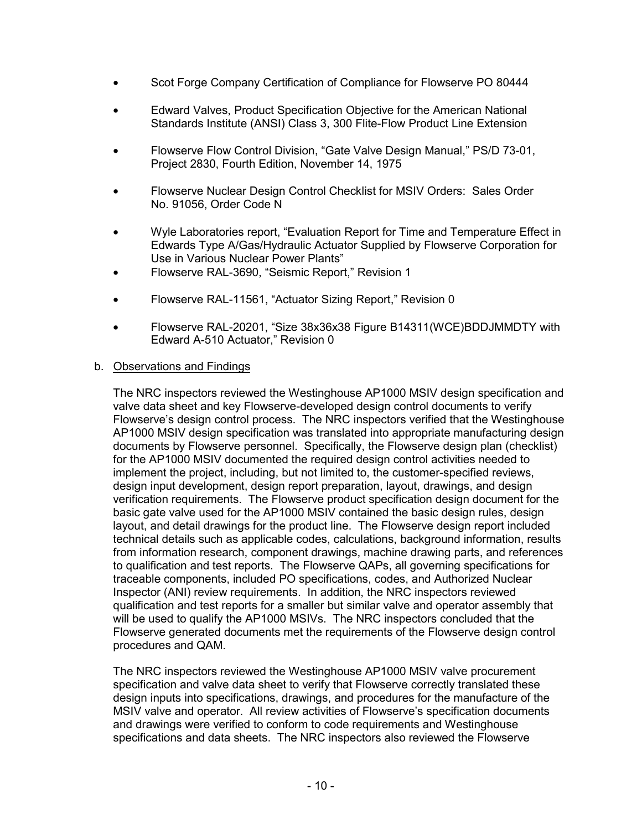- Scot Forge Company Certification of Compliance for Flowserve PO 80444
- Edward Valves, Product Specification Objective for the American National Standards Institute (ANSI) Class 3, 300 Flite-Flow Product Line Extension
- Flowserve Flow Control Division, "Gate Valve Design Manual," PS/D 73-01, Project 2830, Fourth Edition, November 14, 1975
- Flowserve Nuclear Design Control Checklist for MSIV Orders: Sales Order No. 91056, Order Code N
- Wyle Laboratories report, "Evaluation Report for Time and Temperature Effect in Edwards Type A/Gas/Hydraulic Actuator Supplied by Flowserve Corporation for Use in Various Nuclear Power Plants"
- Flowserve RAL-3690, "Seismic Report," Revision 1
- Flowserve RAL-11561, "Actuator Sizing Report," Revision 0
- Flowserve RAL-20201, "Size 38x36x38 Figure B14311(WCE)BDDJMMDTY with Edward A-510 Actuator," Revision 0

### b. Observations and Findings

The NRC inspectors reviewed the Westinghouse AP1000 MSIV design specification and valve data sheet and key Flowserve-developed design control documents to verify Flowserve's design control process. The NRC inspectors verified that the Westinghouse AP1000 MSIV design specification was translated into appropriate manufacturing design documents by Flowserve personnel. Specifically, the Flowserve design plan (checklist) for the AP1000 MSIV documented the required design control activities needed to implement the project, including, but not limited to, the customer-specified reviews, design input development, design report preparation, layout, drawings, and design verification requirements. The Flowserve product specification design document for the basic gate valve used for the AP1000 MSIV contained the basic design rules, design layout, and detail drawings for the product line. The Flowserve design report included technical details such as applicable codes, calculations, background information, results from information research, component drawings, machine drawing parts, and references to qualification and test reports. The Flowserve QAPs, all governing specifications for traceable components, included PO specifications, codes, and Authorized Nuclear Inspector (ANI) review requirements. In addition, the NRC inspectors reviewed qualification and test reports for a smaller but similar valve and operator assembly that will be used to qualify the AP1000 MSIVs. The NRC inspectors concluded that the Flowserve generated documents met the requirements of the Flowserve design control procedures and QAM.

The NRC inspectors reviewed the Westinghouse AP1000 MSIV valve procurement specification and valve data sheet to verify that Flowserve correctly translated these design inputs into specifications, drawings, and procedures for the manufacture of the MSIV valve and operator. All review activities of Flowserve's specification documents and drawings were verified to conform to code requirements and Westinghouse specifications and data sheets. The NRC inspectors also reviewed the Flowserve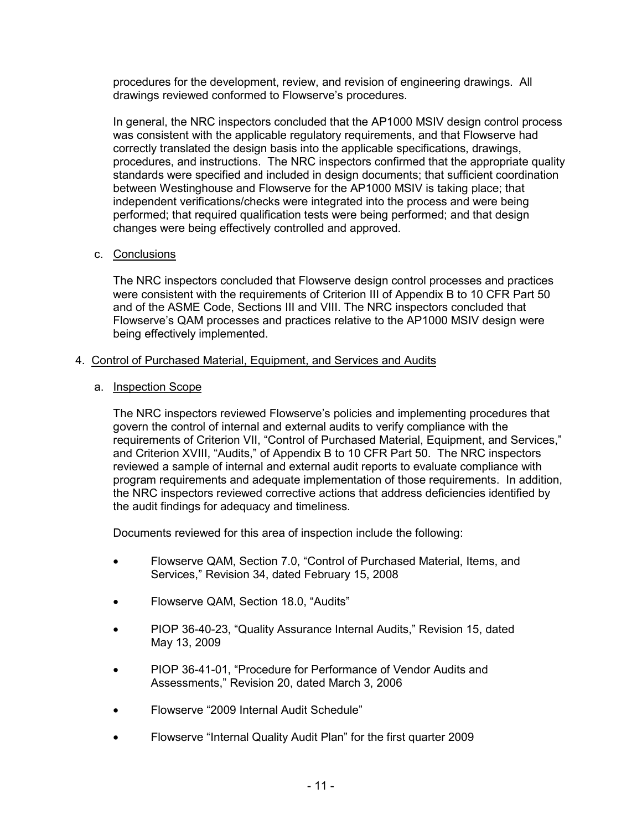procedures for the development, review, and revision of engineering drawings. All drawings reviewed conformed to Flowserve's procedures.

In general, the NRC inspectors concluded that the AP1000 MSIV design control process was consistent with the applicable regulatory requirements, and that Flowserve had correctly translated the design basis into the applicable specifications, drawings, procedures, and instructions. The NRC inspectors confirmed that the appropriate quality standards were specified and included in design documents; that sufficient coordination between Westinghouse and Flowserve for the AP1000 MSIV is taking place; that independent verifications/checks were integrated into the process and were being performed; that required qualification tests were being performed; and that design changes were being effectively controlled and approved.

## c. Conclusions

The NRC inspectors concluded that Flowserve design control processes and practices were consistent with the requirements of Criterion III of Appendix B to 10 CFR Part 50 and of the ASME Code, Sections III and VIII. The NRC inspectors concluded that Flowserve's QAM processes and practices relative to the AP1000 MSIV design were being effectively implemented.

### 4. Control of Purchased Material, Equipment, and Services and Audits

### a. Inspection Scope

The NRC inspectors reviewed Flowserve's policies and implementing procedures that govern the control of internal and external audits to verify compliance with the requirements of Criterion VII, "Control of Purchased Material, Equipment, and Services," and Criterion XVIII, "Audits," of Appendix B to 10 CFR Part 50. The NRC inspectors reviewed a sample of internal and external audit reports to evaluate compliance with program requirements and adequate implementation of those requirements. In addition, the NRC inspectors reviewed corrective actions that address deficiencies identified by the audit findings for adequacy and timeliness.

Documents reviewed for this area of inspection include the following:

- Flowserve QAM, Section 7.0, "Control of Purchased Material, Items, and Services," Revision 34, dated February 15, 2008
- Flowserve QAM, Section 18.0, "Audits"
- PIOP 36-40-23, "Quality Assurance Internal Audits," Revision 15, dated May 13, 2009
- PIOP 36-41-01, "Procedure for Performance of Vendor Audits and Assessments," Revision 20, dated March 3, 2006
- Flowserve "2009 Internal Audit Schedule"
- Flowserve "Internal Quality Audit Plan" for the first quarter 2009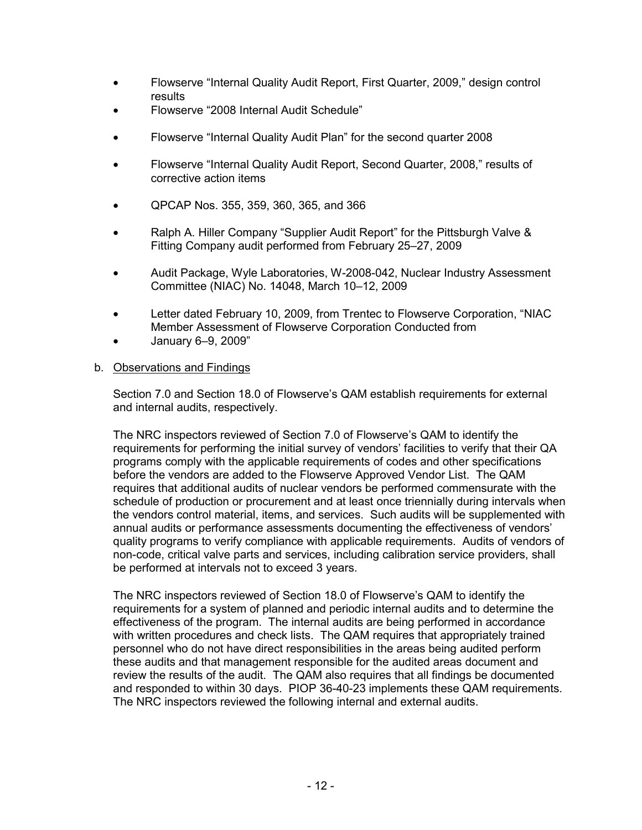- Flowserve "Internal Quality Audit Report, First Quarter, 2009," design control results
- Flowserve "2008 Internal Audit Schedule"
- Flowserve "Internal Quality Audit Plan" for the second quarter 2008
- Flowserve "Internal Quality Audit Report, Second Quarter, 2008," results of corrective action items
- QPCAP Nos. 355, 359, 360, 365, and 366
- Ralph A. Hiller Company "Supplier Audit Report" for the Pittsburgh Valve & Fitting Company audit performed from February 25–27, 2009
- Audit Package, Wyle Laboratories, W-2008-042, Nuclear Industry Assessment Committee (NIAC) No. 14048, March 10–12, 2009
- Letter dated February 10, 2009, from Trentec to Flowserve Corporation, "NIAC Member Assessment of Flowserve Corporation Conducted from
- January 6–9, 2009"

## b. Observations and Findings

Section 7.0 and Section 18.0 of Flowserve's QAM establish requirements for external and internal audits, respectively.

The NRC inspectors reviewed of Section 7.0 of Flowserve's QAM to identify the requirements for performing the initial survey of vendors' facilities to verify that their QA programs comply with the applicable requirements of codes and other specifications before the vendors are added to the Flowserve Approved Vendor List. The QAM requires that additional audits of nuclear vendors be performed commensurate with the schedule of production or procurement and at least once triennially during intervals when the vendors control material, items, and services. Such audits will be supplemented with annual audits or performance assessments documenting the effectiveness of vendors' quality programs to verify compliance with applicable requirements. Audits of vendors of non-code, critical valve parts and services, including calibration service providers, shall be performed at intervals not to exceed 3 years.

The NRC inspectors reviewed of Section 18.0 of Flowserve's QAM to identify the requirements for a system of planned and periodic internal audits and to determine the effectiveness of the program. The internal audits are being performed in accordance with written procedures and check lists. The QAM requires that appropriately trained personnel who do not have direct responsibilities in the areas being audited perform these audits and that management responsible for the audited areas document and review the results of the audit. The QAM also requires that all findings be documented and responded to within 30 days. PIOP 36-40-23 implements these QAM requirements. The NRC inspectors reviewed the following internal and external audits.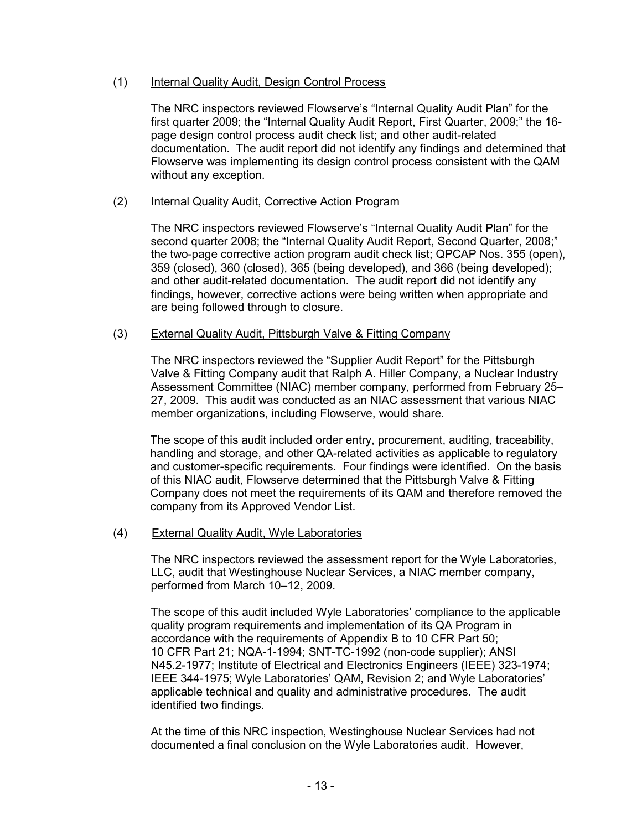## (1) Internal Quality Audit, Design Control Process

The NRC inspectors reviewed Flowserve's "Internal Quality Audit Plan" for the first quarter 2009; the "Internal Quality Audit Report, First Quarter, 2009;" the 16 page design control process audit check list; and other audit-related documentation. The audit report did not identify any findings and determined that Flowserve was implementing its design control process consistent with the QAM without any exception.

## (2) Internal Quality Audit, Corrective Action Program

The NRC inspectors reviewed Flowserve's "Internal Quality Audit Plan" for the second quarter 2008; the "Internal Quality Audit Report, Second Quarter, 2008;" the two-page corrective action program audit check list; QPCAP Nos. 355 (open), 359 (closed), 360 (closed), 365 (being developed), and 366 (being developed); and other audit-related documentation. The audit report did not identify any findings, however, corrective actions were being written when appropriate and are being followed through to closure.

## (3) External Quality Audit, Pittsburgh Valve & Fitting Company

The NRC inspectors reviewed the "Supplier Audit Report" for the Pittsburgh Valve & Fitting Company audit that Ralph A. Hiller Company, a Nuclear Industry Assessment Committee (NIAC) member company, performed from February 25– 27, 2009. This audit was conducted as an NIAC assessment that various NIAC member organizations, including Flowserve, would share.

The scope of this audit included order entry, procurement, auditing, traceability, handling and storage, and other QA-related activities as applicable to regulatory and customer-specific requirements. Four findings were identified. On the basis of this NIAC audit, Flowserve determined that the Pittsburgh Valve & Fitting Company does not meet the requirements of its QAM and therefore removed the company from its Approved Vendor List.

## (4) External Quality Audit, Wyle Laboratories

The NRC inspectors reviewed the assessment report for the Wyle Laboratories, LLC, audit that Westinghouse Nuclear Services, a NIAC member company, performed from March 10–12, 2009.

The scope of this audit included Wyle Laboratories' compliance to the applicable quality program requirements and implementation of its QA Program in accordance with the requirements of Appendix B to 10 CFR Part 50; 10 CFR Part 21; NQA-1-1994; SNT-TC-1992 (non-code supplier); ANSI N45.2-1977; Institute of Electrical and Electronics Engineers (IEEE) 323-1974; IEEE 344-1975; Wyle Laboratories' QAM, Revision 2; and Wyle Laboratories' applicable technical and quality and administrative procedures. The audit identified two findings.

At the time of this NRC inspection, Westinghouse Nuclear Services had not documented a final conclusion on the Wyle Laboratories audit. However,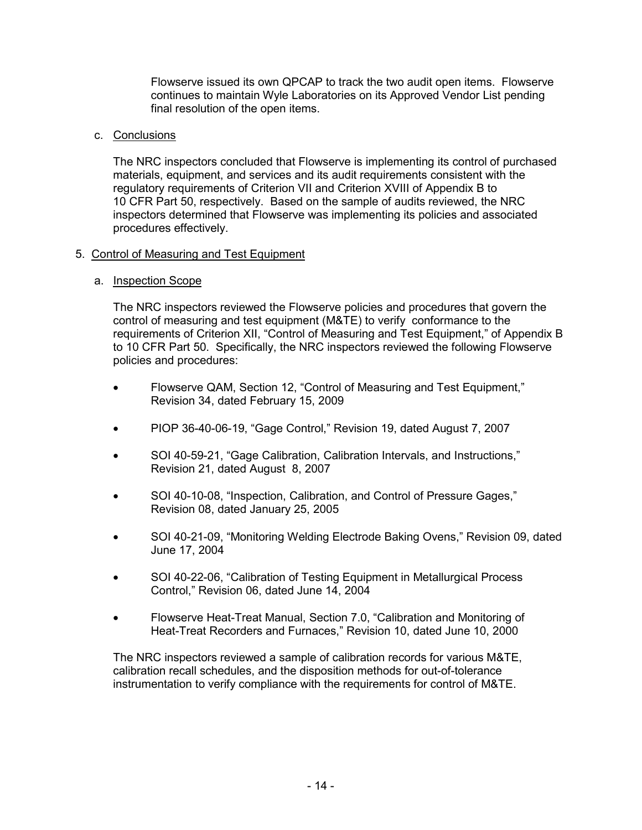Flowserve issued its own QPCAP to track the two audit open items. Flowserve continues to maintain Wyle Laboratories on its Approved Vendor List pending final resolution of the open items.

## c. Conclusions

The NRC inspectors concluded that Flowserve is implementing its control of purchased materials, equipment, and services and its audit requirements consistent with the regulatory requirements of Criterion VII and Criterion XVIII of Appendix B to 10 CFR Part 50, respectively. Based on the sample of audits reviewed, the NRC inspectors determined that Flowserve was implementing its policies and associated procedures effectively.

## 5. Control of Measuring and Test Equipment

## a. Inspection Scope

The NRC inspectors reviewed the Flowserve policies and procedures that govern the control of measuring and test equipment (M&TE) to verify conformance to the requirements of Criterion XII, "Control of Measuring and Test Equipment," of Appendix B to 10 CFR Part 50. Specifically, the NRC inspectors reviewed the following Flowserve policies and procedures:

- Flowserve QAM, Section 12, "Control of Measuring and Test Equipment," Revision 34, dated February 15, 2009
- PIOP 36-40-06-19, "Gage Control," Revision 19, dated August 7, 2007
- SOI 40-59-21, "Gage Calibration, Calibration Intervals, and Instructions," Revision 21, dated August 8, 2007
- SOI 40-10-08, "Inspection, Calibration, and Control of Pressure Gages," Revision 08, dated January 25, 2005
- SOI 40-21-09, "Monitoring Welding Electrode Baking Ovens," Revision 09, dated June 17, 2004
- SOI 40-22-06, "Calibration of Testing Equipment in Metallurgical Process Control," Revision 06, dated June 14, 2004
- Flowserve Heat-Treat Manual, Section 7.0, "Calibration and Monitoring of Heat-Treat Recorders and Furnaces," Revision 10, dated June 10, 2000

The NRC inspectors reviewed a sample of calibration records for various M&TE, calibration recall schedules, and the disposition methods for out-of-tolerance instrumentation to verify compliance with the requirements for control of M&TE.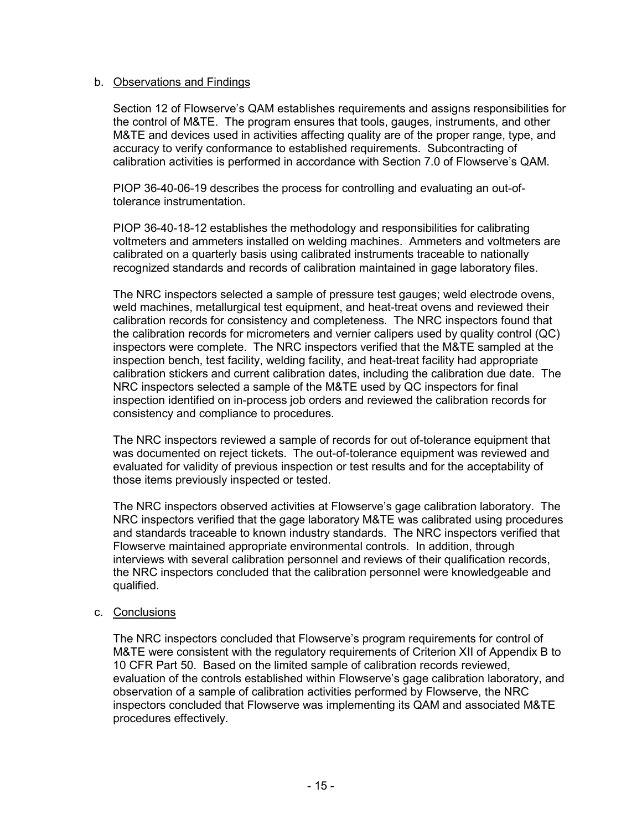### b. Observations and Findings

Section 12 of Flowserve's QAM establishes requirements and assigns responsibilities for the control of M&TE. The program ensures that tools, gauges, instruments, and other M&TE and devices used in activities affecting quality are of the proper range, type, and accuracy to verify conformance to established requirements. Subcontracting of calibration activities is performed in accordance with Section 7.0 of Flowserve's QAM.

PIOP 36-40-06-19 describes the process for controlling and evaluating an out-oftolerance instrumentation.

PIOP 36-40-18-12 establishes the methodology and responsibilities for calibrating voltmeters and ammeters installed on welding machines. Ammeters and voltmeters are calibrated on a quarterly basis using calibrated instruments traceable to nationally recognized standards and records of calibration maintained in gage laboratory files.

The NRC inspectors selected a sample of pressure test gauges; weld electrode ovens, weld machines, metallurgical test equipment, and heat-treat ovens and reviewed their calibration records for consistency and completeness. The NRC inspectors found that the calibration records for micrometers and vernier calipers used by quality control (QC) inspectors were complete. The NRC inspectors verified that the M&TE sampled at the inspection bench, test facility, welding facility, and heat-treat facility had appropriate calibration stickers and current calibration dates, including the calibration due date. The NRC inspectors selected a sample of the M&TE used by QC inspectors for final inspection identified on in-process job orders and reviewed the calibration records for consistency and compliance to procedures.

The NRC inspectors reviewed a sample of records for out of-tolerance equipment that was documented on reject tickets. The out-of-tolerance equipment was reviewed and evaluated for validity of previous inspection or test results and for the acceptability of those items previously inspected or tested.

The NRC inspectors observed activities at Flowserve's gage calibration laboratory. The NRC inspectors verified that the gage laboratory M&TE was calibrated using procedures and standards traceable to known industry standards. The NRC inspectors verified that Flowserve maintained appropriate environmental controls. In addition, through interviews with several calibration personnel and reviews of their qualification records, the NRC inspectors concluded that the calibration personnel were knowledgeable and qualified.

## c. Conclusions

The NRC inspectors concluded that Flowserve's program requirements for control of M&TE were consistent with the regulatory requirements of Criterion XII of Appendix B to 10 CFR Part 50. Based on the limited sample of calibration records reviewed, evaluation of the controls established within Flowserve's gage calibration laboratory, and observation of a sample of calibration activities performed by Flowserve, the NRC inspectors concluded that Flowserve was implementing its QAM and associated M&TE procedures effectively.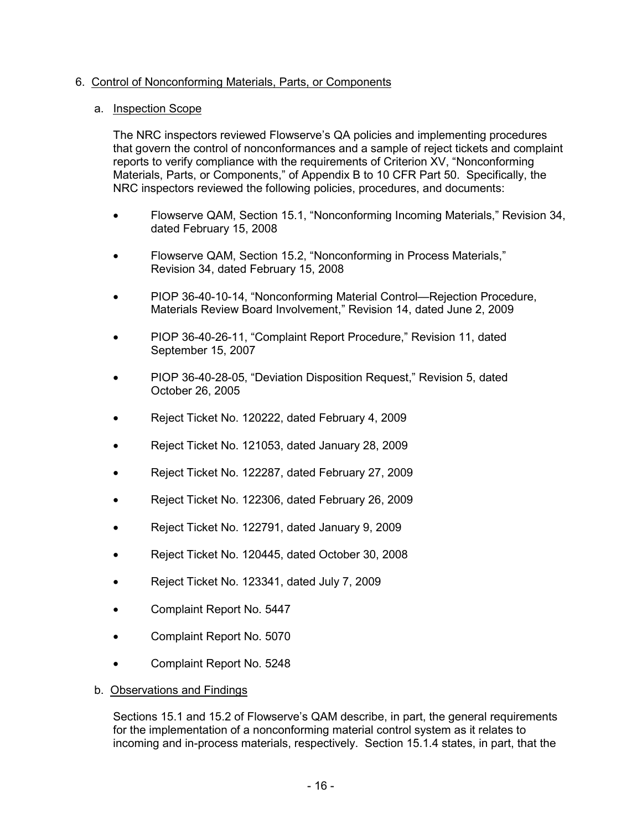## 6. Control of Nonconforming Materials, Parts, or Components

## a. Inspection Scope

The NRC inspectors reviewed Flowserve's QA policies and implementing procedures that govern the control of nonconformances and a sample of reject tickets and complaint reports to verify compliance with the requirements of Criterion XV, "Nonconforming Materials, Parts, or Components," of Appendix B to 10 CFR Part 50. Specifically, the NRC inspectors reviewed the following policies, procedures, and documents:

- Flowserve QAM, Section 15.1, "Nonconforming Incoming Materials," Revision 34, dated February 15, 2008
- Flowserve QAM, Section 15.2, "Nonconforming in Process Materials," Revision 34, dated February 15, 2008
- PIOP 36-40-10-14, "Nonconforming Material Control—Rejection Procedure, Materials Review Board Involvement," Revision 14, dated June 2, 2009
- PIOP 36-40-26-11, "Complaint Report Procedure," Revision 11, dated September 15, 2007
- PIOP 36-40-28-05, "Deviation Disposition Request," Revision 5, dated October 26, 2005
- Reject Ticket No. 120222, dated February 4, 2009
- Reject Ticket No. 121053, dated January 28, 2009
- Reject Ticket No. 122287, dated February 27, 2009
- Reject Ticket No. 122306, dated February 26, 2009
- Reject Ticket No. 122791, dated January 9, 2009
- Reject Ticket No. 120445, dated October 30, 2008
- Reject Ticket No. 123341, dated July 7, 2009
- Complaint Report No. 5447
- Complaint Report No. 5070
- Complaint Report No. 5248
- b. Observations and Findings

Sections 15.1 and 15.2 of Flowserve's QAM describe, in part, the general requirements for the implementation of a nonconforming material control system as it relates to incoming and in-process materials, respectively. Section 15.1.4 states, in part, that the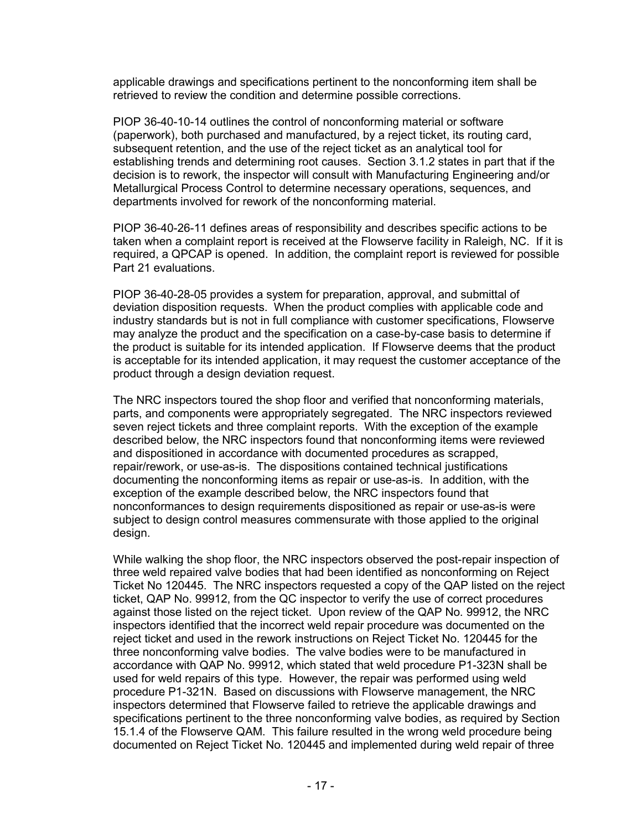applicable drawings and specifications pertinent to the nonconforming item shall be retrieved to review the condition and determine possible corrections.

PIOP 36-40-10-14 outlines the control of nonconforming material or software (paperwork), both purchased and manufactured, by a reject ticket, its routing card, subsequent retention, and the use of the reject ticket as an analytical tool for establishing trends and determining root causes. Section 3.1.2 states in part that if the decision is to rework, the inspector will consult with Manufacturing Engineering and/or Metallurgical Process Control to determine necessary operations, sequences, and departments involved for rework of the nonconforming material.

PIOP 36-40-26-11 defines areas of responsibility and describes specific actions to be taken when a complaint report is received at the Flowserve facility in Raleigh, NC. If it is required, a QPCAP is opened. In addition, the complaint report is reviewed for possible Part 21 evaluations.

PIOP 36-40-28-05 provides a system for preparation, approval, and submittal of deviation disposition requests. When the product complies with applicable code and industry standards but is not in full compliance with customer specifications, Flowserve may analyze the product and the specification on a case-by-case basis to determine if the product is suitable for its intended application. If Flowserve deems that the product is acceptable for its intended application, it may request the customer acceptance of the product through a design deviation request.

The NRC inspectors toured the shop floor and verified that nonconforming materials, parts, and components were appropriately segregated. The NRC inspectors reviewed seven reject tickets and three complaint reports. With the exception of the example described below, the NRC inspectors found that nonconforming items were reviewed and dispositioned in accordance with documented procedures as scrapped, repair/rework, or use-as-is. The dispositions contained technical justifications documenting the nonconforming items as repair or use-as-is. In addition, with the exception of the example described below, the NRC inspectors found that nonconformances to design requirements dispositioned as repair or use-as-is were subject to design control measures commensurate with those applied to the original design.

While walking the shop floor, the NRC inspectors observed the post-repair inspection of three weld repaired valve bodies that had been identified as nonconforming on Reject Ticket No 120445. The NRC inspectors requested a copy of the QAP listed on the reject ticket, QAP No. 99912, from the QC inspector to verify the use of correct procedures against those listed on the reject ticket. Upon review of the QAP No. 99912, the NRC inspectors identified that the incorrect weld repair procedure was documented on the reject ticket and used in the rework instructions on Reject Ticket No. 120445 for the three nonconforming valve bodies. The valve bodies were to be manufactured in accordance with QAP No. 99912, which stated that weld procedure P1-323N shall be used for weld repairs of this type. However, the repair was performed using weld procedure P1-321N. Based on discussions with Flowserve management, the NRC inspectors determined that Flowserve failed to retrieve the applicable drawings and specifications pertinent to the three nonconforming valve bodies, as required by Section 15.1.4 of the Flowserve QAM. This failure resulted in the wrong weld procedure being documented on Reject Ticket No. 120445 and implemented during weld repair of three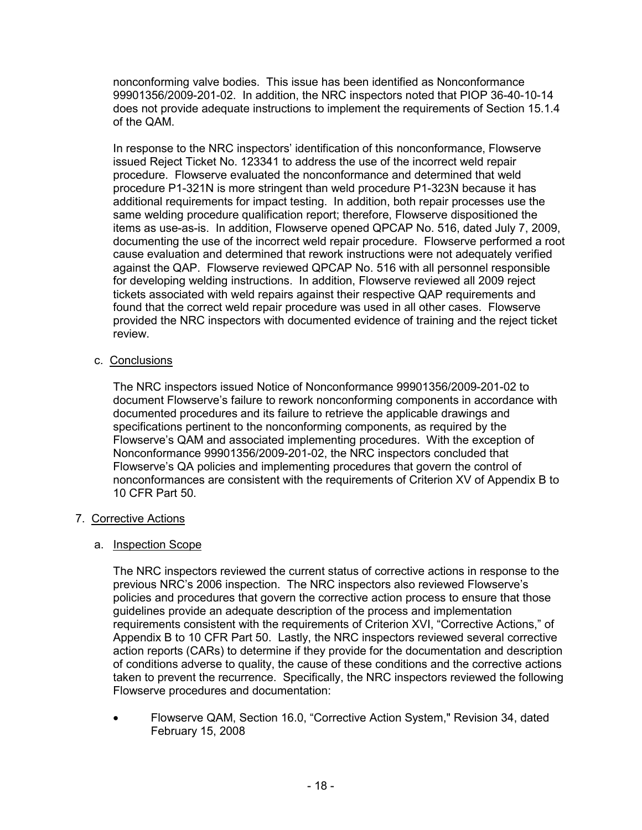nonconforming valve bodies. This issue has been identified as Nonconformance 99901356/2009-201-02. In addition, the NRC inspectors noted that PIOP 36-40-10-14 does not provide adequate instructions to implement the requirements of Section 15.1.4 of the QAM.

In response to the NRC inspectors' identification of this nonconformance, Flowserve issued Reject Ticket No. 123341 to address the use of the incorrect weld repair procedure. Flowserve evaluated the nonconformance and determined that weld procedure P1-321N is more stringent than weld procedure P1-323N because it has additional requirements for impact testing. In addition, both repair processes use the same welding procedure qualification report; therefore, Flowserve dispositioned the items as use-as-is. In addition, Flowserve opened QPCAP No. 516, dated July 7, 2009, documenting the use of the incorrect weld repair procedure. Flowserve performed a root cause evaluation and determined that rework instructions were not adequately verified against the QAP. Flowserve reviewed QPCAP No. 516 with all personnel responsible for developing welding instructions. In addition, Flowserve reviewed all 2009 reject tickets associated with weld repairs against their respective QAP requirements and found that the correct weld repair procedure was used in all other cases. Flowserve provided the NRC inspectors with documented evidence of training and the reject ticket review.

## c. Conclusions

The NRC inspectors issued Notice of Nonconformance 99901356/2009-201-02 to document Flowserve's failure to rework nonconforming components in accordance with documented procedures and its failure to retrieve the applicable drawings and specifications pertinent to the nonconforming components, as required by the Flowserve's QAM and associated implementing procedures. With the exception of Nonconformance 99901356/2009-201-02, the NRC inspectors concluded that Flowserve's QA policies and implementing procedures that govern the control of nonconformances are consistent with the requirements of Criterion XV of Appendix B to 10 CFR Part 50.

## 7. Corrective Actions

## a. Inspection Scope

The NRC inspectors reviewed the current status of corrective actions in response to the previous NRC's 2006 inspection. The NRC inspectors also reviewed Flowserve's policies and procedures that govern the corrective action process to ensure that those guidelines provide an adequate description of the process and implementation requirements consistent with the requirements of Criterion XVI, "Corrective Actions," of Appendix B to 10 CFR Part 50. Lastly, the NRC inspectors reviewed several corrective action reports (CARs) to determine if they provide for the documentation and description of conditions adverse to quality, the cause of these conditions and the corrective actions taken to prevent the recurrence. Specifically, the NRC inspectors reviewed the following Flowserve procedures and documentation:

• Flowserve QAM, Section 16.0, "Corrective Action System," Revision 34, dated February 15, 2008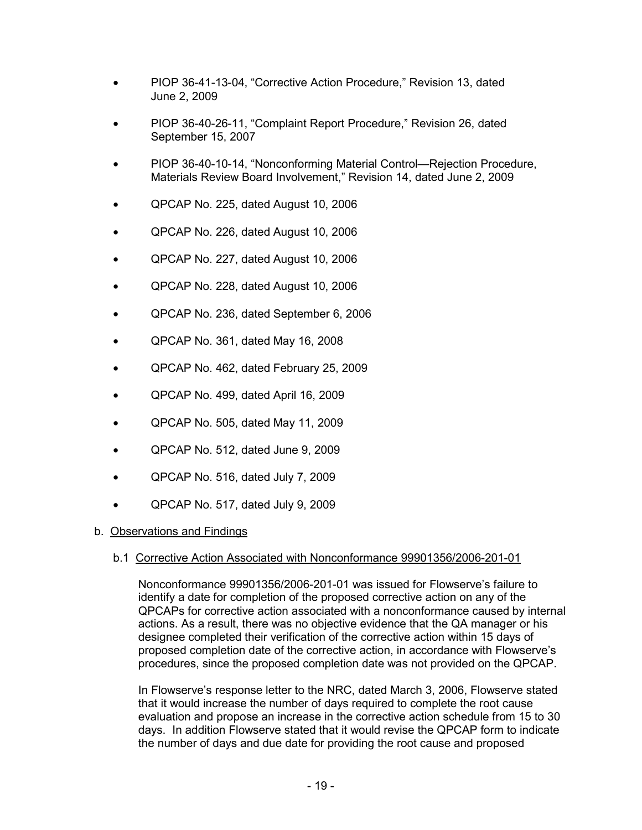- PIOP 36-41-13-04, "Corrective Action Procedure," Revision 13, dated June 2, 2009
- PIOP 36-40-26-11, "Complaint Report Procedure," Revision 26, dated September 15, 2007
- PIOP 36-40-10-14, "Nonconforming Material Control—Rejection Procedure, Materials Review Board Involvement," Revision 14, dated June 2, 2009
- QPCAP No. 225, dated August 10, 2006
- QPCAP No. 226, dated August 10, 2006
- QPCAP No. 227, dated August 10, 2006
- QPCAP No. 228, dated August 10, 2006
- QPCAP No. 236, dated September 6, 2006
- QPCAP No. 361, dated May 16, 2008
- QPCAP No. 462, dated February 25, 2009
- QPCAP No. 499, dated April 16, 2009
- QPCAP No. 505, dated May 11, 2009
- QPCAP No. 512, dated June 9, 2009
- QPCAP No. 516, dated July 7, 2009
- QPCAP No. 517, dated July 9, 2009

#### b. Observations and Findings

#### b.1 Corrective Action Associated with Nonconformance 99901356/2006-201-01

Nonconformance 99901356/2006-201-01 was issued for Flowserve's failure to identify a date for completion of the proposed corrective action on any of the QPCAPs for corrective action associated with a nonconformance caused by internal actions. As a result, there was no objective evidence that the QA manager or his designee completed their verification of the corrective action within 15 days of proposed completion date of the corrective action, in accordance with Flowserve's procedures, since the proposed completion date was not provided on the QPCAP.

In Flowserve's response letter to the NRC, dated March 3, 2006, Flowserve stated that it would increase the number of days required to complete the root cause evaluation and propose an increase in the corrective action schedule from 15 to 30 days. In addition Flowserve stated that it would revise the QPCAP form to indicate the number of days and due date for providing the root cause and proposed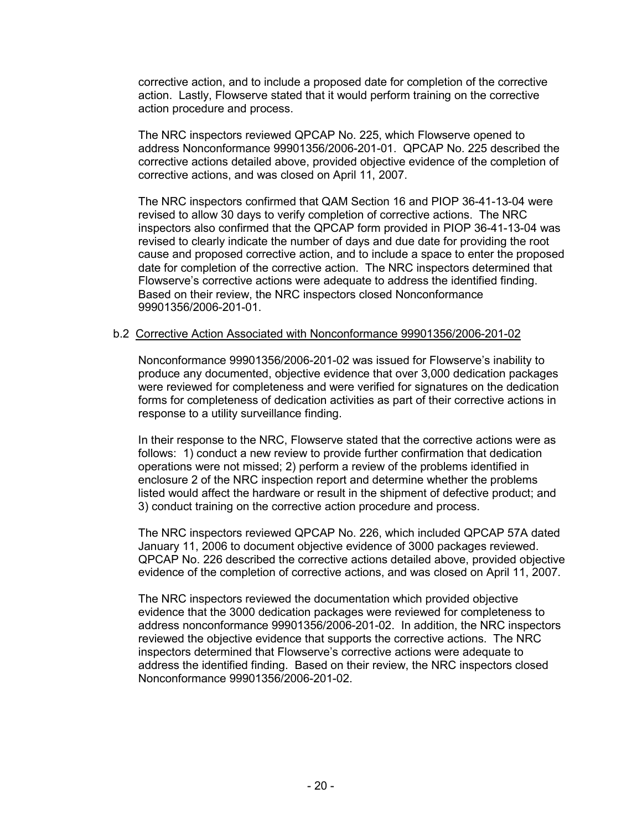corrective action, and to include a proposed date for completion of the corrective action. Lastly, Flowserve stated that it would perform training on the corrective action procedure and process.

The NRC inspectors reviewed QPCAP No. 225, which Flowserve opened to address Nonconformance 99901356/2006-201-01. QPCAP No. 225 described the corrective actions detailed above, provided objective evidence of the completion of corrective actions, and was closed on April 11, 2007.

The NRC inspectors confirmed that QAM Section 16 and PIOP 36-41-13-04 were revised to allow 30 days to verify completion of corrective actions. The NRC inspectors also confirmed that the QPCAP form provided in PIOP 36-41-13-04 was revised to clearly indicate the number of days and due date for providing the root cause and proposed corrective action, and to include a space to enter the proposed date for completion of the corrective action. The NRC inspectors determined that Flowserve's corrective actions were adequate to address the identified finding. Based on their review, the NRC inspectors closed Nonconformance 99901356/2006-201-01.

## b.2 Corrective Action Associated with Nonconformance 99901356/2006-201-02

Nonconformance 99901356/2006-201-02 was issued for Flowserve's inability to produce any documented, objective evidence that over 3,000 dedication packages were reviewed for completeness and were verified for signatures on the dedication forms for completeness of dedication activities as part of their corrective actions in response to a utility surveillance finding.

In their response to the NRC, Flowserve stated that the corrective actions were as follows: 1) conduct a new review to provide further confirmation that dedication operations were not missed; 2) perform a review of the problems identified in enclosure 2 of the NRC inspection report and determine whether the problems listed would affect the hardware or result in the shipment of defective product; and 3) conduct training on the corrective action procedure and process.

The NRC inspectors reviewed QPCAP No. 226, which included QPCAP 57A dated January 11, 2006 to document objective evidence of 3000 packages reviewed. QPCAP No. 226 described the corrective actions detailed above, provided objective evidence of the completion of corrective actions, and was closed on April 11, 2007.

The NRC inspectors reviewed the documentation which provided objective evidence that the 3000 dedication packages were reviewed for completeness to address nonconformance 99901356/2006-201-02. In addition, the NRC inspectors reviewed the objective evidence that supports the corrective actions. The NRC inspectors determined that Flowserve's corrective actions were adequate to address the identified finding. Based on their review, the NRC inspectors closed Nonconformance 99901356/2006-201-02.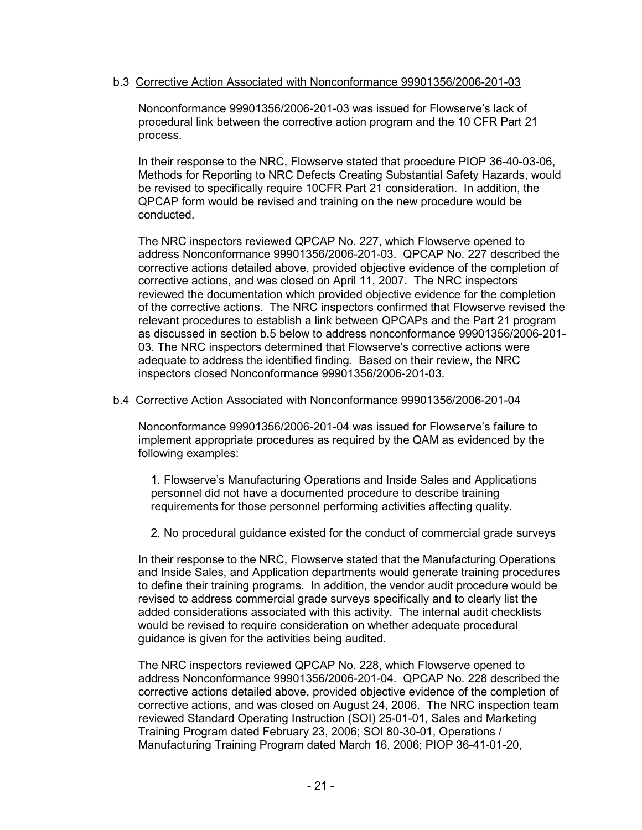### b.3 Corrective Action Associated with Nonconformance 99901356/2006-201-03

Nonconformance 99901356/2006-201-03 was issued for Flowserve's lack of procedural link between the corrective action program and the 10 CFR Part 21 process.

In their response to the NRC, Flowserve stated that procedure PIOP 36-40-03-06, Methods for Reporting to NRC Defects Creating Substantial Safety Hazards, would be revised to specifically require 10CFR Part 21 consideration. In addition, the QPCAP form would be revised and training on the new procedure would be conducted.

The NRC inspectors reviewed QPCAP No. 227, which Flowserve opened to address Nonconformance 99901356/2006-201-03. QPCAP No. 227 described the corrective actions detailed above, provided objective evidence of the completion of corrective actions, and was closed on April 11, 2007. The NRC inspectors reviewed the documentation which provided objective evidence for the completion of the corrective actions. The NRC inspectors confirmed that Flowserve revised the relevant procedures to establish a link between QPCAPs and the Part 21 program as discussed in section b.5 below to address nonconformance 99901356/2006-201- 03. The NRC inspectors determined that Flowserve's corrective actions were adequate to address the identified finding. Based on their review, the NRC inspectors closed Nonconformance 99901356/2006-201-03.

### b.4 Corrective Action Associated with Nonconformance 99901356/2006-201-04

Nonconformance 99901356/2006-201-04 was issued for Flowserve's failure to implement appropriate procedures as required by the QAM as evidenced by the following examples:

1. Flowserve's Manufacturing Operations and Inside Sales and Applications personnel did not have a documented procedure to describe training requirements for those personnel performing activities affecting quality.

2. No procedural guidance existed for the conduct of commercial grade surveys

In their response to the NRC, Flowserve stated that the Manufacturing Operations and Inside Sales, and Application departments would generate training procedures to define their training programs. In addition, the vendor audit procedure would be revised to address commercial grade surveys specifically and to clearly list the added considerations associated with this activity. The internal audit checklists would be revised to require consideration on whether adequate procedural guidance is given for the activities being audited.

The NRC inspectors reviewed QPCAP No. 228, which Flowserve opened to address Nonconformance 99901356/2006-201-04. QPCAP No. 228 described the corrective actions detailed above, provided objective evidence of the completion of corrective actions, and was closed on August 24, 2006. The NRC inspection team reviewed Standard Operating Instruction (SOI) 25-01-01, Sales and Marketing Training Program dated February 23, 2006; SOI 80-30-01, Operations / Manufacturing Training Program dated March 16, 2006; PIOP 36-41-01-20,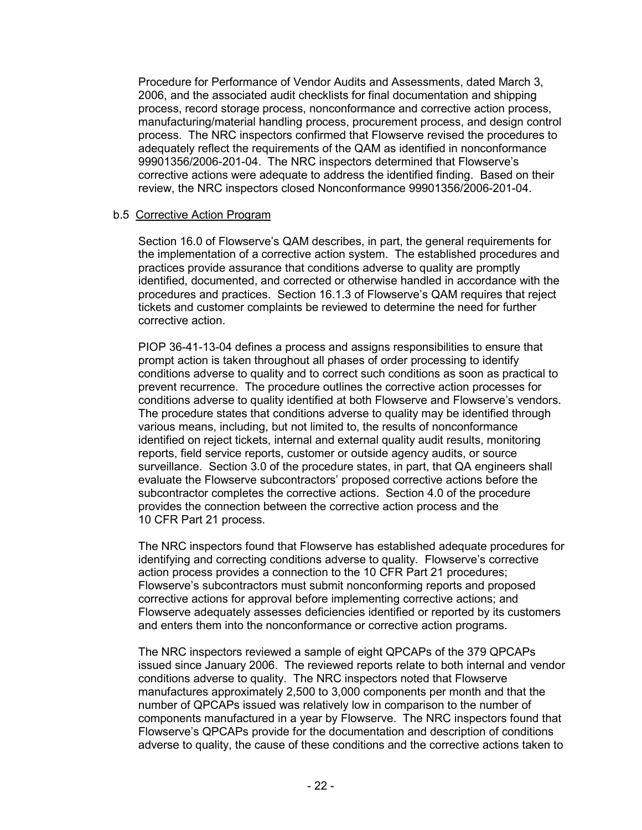Procedure for Performance of Vendor Audits and Assessments, dated March 3, 2006, and the associated audit checklists for final documentation and shipping process, record storage process, nonconformance and corrective action process, manufacturing/material handling process, procurement process, and design control process. The NRC inspectors confirmed that Flowserve revised the procedures to adequately reflect the requirements of the QAM as identified in nonconformance 99901356/2006-201-04. The NRC inspectors determined that Flowserve's corrective actions were adequate to address the identified finding. Based on their review, the NRC inspectors closed Nonconformance 99901356/2006-201-04.

### b.5 Corrective Action Program

Section 16.0 of Flowserve's QAM describes, in part, the general requirements for the implementation of a corrective action system. The established procedures and practices provide assurance that conditions adverse to quality are promptly identified, documented, and corrected or otherwise handled in accordance with the procedures and practices. Section 16.1.3 of Flowserve's QAM requires that reject tickets and customer complaints be reviewed to determine the need for further corrective action.

PIOP 36-41-13-04 defines a process and assigns responsibilities to ensure that prompt action is taken throughout all phases of order processing to identify conditions adverse to quality and to correct such conditions as soon as practical to prevent recurrence. The procedure outlines the corrective action processes for conditions adverse to quality identified at both Flowserve and Flowserve's vendors. The procedure states that conditions adverse to quality may be identified through various means, including, but not limited to, the results of nonconformance identified on reject tickets, internal and external quality audit results, monitoring reports, field service reports, customer or outside agency audits, or source surveillance. Section 3.0 of the procedure states, in part, that QA engineers shall evaluate the Flowserve subcontractors' proposed corrective actions before the subcontractor completes the corrective actions. Section 4.0 of the procedure provides the connection between the corrective action process and the 10 CFR Part 21 process.

The NRC inspectors found that Flowserve has established adequate procedures for identifying and correcting conditions adverse to quality. Flowserve's corrective action process provides a connection to the 10 CFR Part 21 procedures; Flowserve's subcontractors must submit nonconforming reports and proposed corrective actions for approval before implementing corrective actions; and Flowserve adequately assesses deficiencies identified or reported by its customers and enters them into the nonconformance or corrective action programs.

The NRC inspectors reviewed a sample of eight QPCAPs of the 379 QPCAPs issued since January 2006. The reviewed reports relate to both internal and vendor conditions adverse to quality. The NRC inspectors noted that Flowserve manufactures approximately 2,500 to 3,000 components per month and that the number of QPCAPs issued was relatively low in comparison to the number of components manufactured in a year by Flowserve. The NRC inspectors found that Flowserve's QPCAPs provide for the documentation and description of conditions adverse to quality, the cause of these conditions and the corrective actions taken to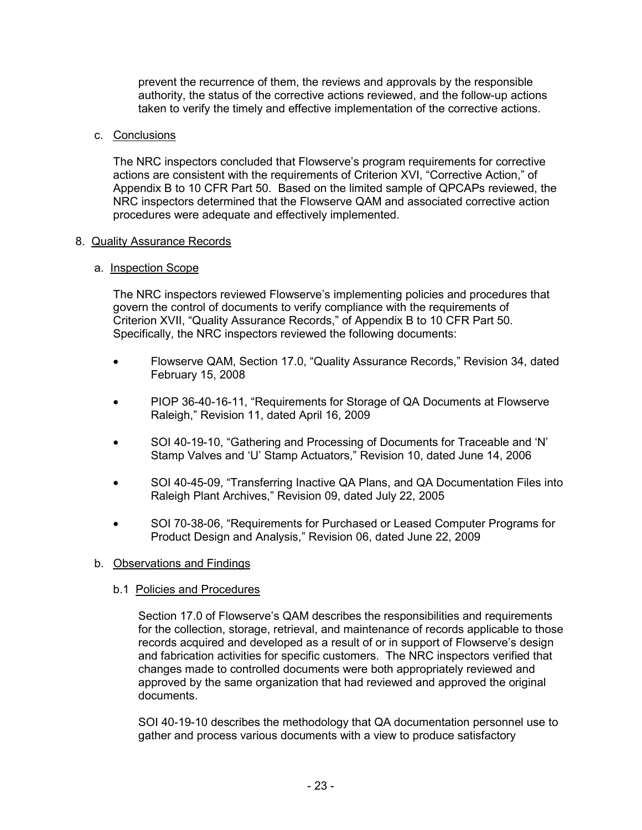prevent the recurrence of them, the reviews and approvals by the responsible authority, the status of the corrective actions reviewed, and the follow-up actions taken to verify the timely and effective implementation of the corrective actions.

## c. Conclusions

The NRC inspectors concluded that Flowserve's program requirements for corrective actions are consistent with the requirements of Criterion XVI, "Corrective Action," of Appendix B to 10 CFR Part 50. Based on the limited sample of QPCAPs reviewed, the NRC inspectors determined that the Flowserve QAM and associated corrective action procedures were adequate and effectively implemented.

### 8. Quality Assurance Records

### a. Inspection Scope

The NRC inspectors reviewed Flowserve's implementing policies and procedures that govern the control of documents to verify compliance with the requirements of Criterion XVII, "Quality Assurance Records," of Appendix B to 10 CFR Part 50. Specifically, the NRC inspectors reviewed the following documents:

- Flowserve QAM, Section 17.0, "Quality Assurance Records," Revision 34, dated February 15, 2008
- PIOP 36-40-16-11, "Requirements for Storage of QA Documents at Flowserve Raleigh," Revision 11, dated April 16, 2009
- SOI 40-19-10, "Gathering and Processing of Documents for Traceable and 'N' Stamp Valves and 'U' Stamp Actuators," Revision 10, dated June 14, 2006
- SOI 40-45-09, "Transferring Inactive QA Plans, and QA Documentation Files into Raleigh Plant Archives," Revision 09, dated July 22, 2005
- SOI 70-38-06, "Requirements for Purchased or Leased Computer Programs for Product Design and Analysis," Revision 06, dated June 22, 2009

## b. Observations and Findings

#### b.1 Policies and Procedures

Section 17.0 of Flowserve's QAM describes the responsibilities and requirements for the collection, storage, retrieval, and maintenance of records applicable to those records acquired and developed as a result of or in support of Flowserve's design and fabrication activities for specific customers. The NRC inspectors verified that changes made to controlled documents were both appropriately reviewed and approved by the same organization that had reviewed and approved the original documents.

SOI 40-19-10 describes the methodology that QA documentation personnel use to gather and process various documents with a view to produce satisfactory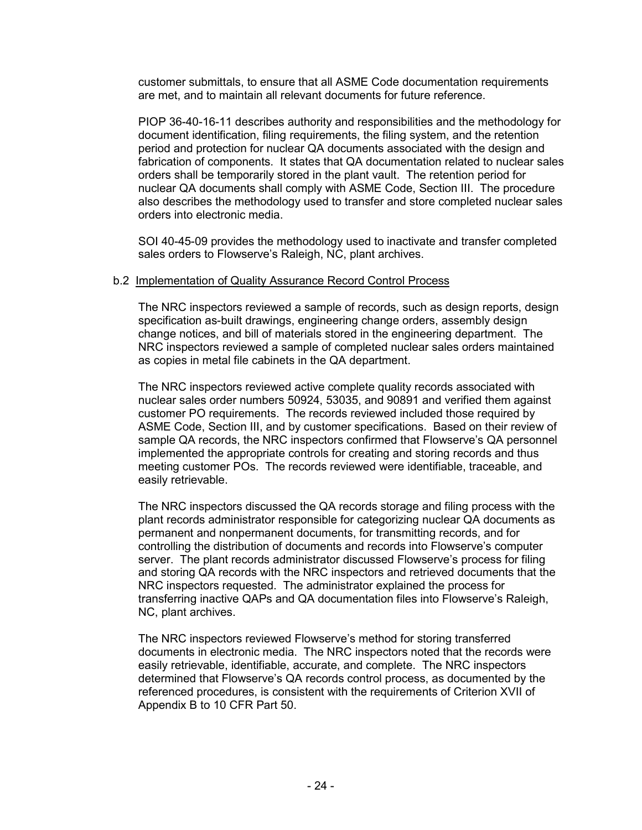customer submittals, to ensure that all ASME Code documentation requirements are met, and to maintain all relevant documents for future reference.

PIOP 36-40-16-11 describes authority and responsibilities and the methodology for document identification, filing requirements, the filing system, and the retention period and protection for nuclear QA documents associated with the design and fabrication of components. It states that QA documentation related to nuclear sales orders shall be temporarily stored in the plant vault. The retention period for nuclear QA documents shall comply with ASME Code, Section III. The procedure also describes the methodology used to transfer and store completed nuclear sales orders into electronic media.

SOI 40-45-09 provides the methodology used to inactivate and transfer completed sales orders to Flowserve's Raleigh, NC, plant archives.

### b.2 Implementation of Quality Assurance Record Control Process

The NRC inspectors reviewed a sample of records, such as design reports, design specification as-built drawings, engineering change orders, assembly design change notices, and bill of materials stored in the engineering department. The NRC inspectors reviewed a sample of completed nuclear sales orders maintained as copies in metal file cabinets in the QA department.

The NRC inspectors reviewed active complete quality records associated with nuclear sales order numbers 50924, 53035, and 90891 and verified them against customer PO requirements. The records reviewed included those required by ASME Code, Section III, and by customer specifications. Based on their review of sample QA records, the NRC inspectors confirmed that Flowserve's QA personnel implemented the appropriate controls for creating and storing records and thus meeting customer POs. The records reviewed were identifiable, traceable, and easily retrievable.

The NRC inspectors discussed the QA records storage and filing process with the plant records administrator responsible for categorizing nuclear QA documents as permanent and nonpermanent documents, for transmitting records, and for controlling the distribution of documents and records into Flowserve's computer server. The plant records administrator discussed Flowserve's process for filing and storing QA records with the NRC inspectors and retrieved documents that the NRC inspectors requested. The administrator explained the process for transferring inactive QAPs and QA documentation files into Flowserve's Raleigh, NC, plant archives.

The NRC inspectors reviewed Flowserve's method for storing transferred documents in electronic media. The NRC inspectors noted that the records were easily retrievable, identifiable, accurate, and complete. The NRC inspectors determined that Flowserve's QA records control process, as documented by the referenced procedures, is consistent with the requirements of Criterion XVII of Appendix B to 10 CFR Part 50.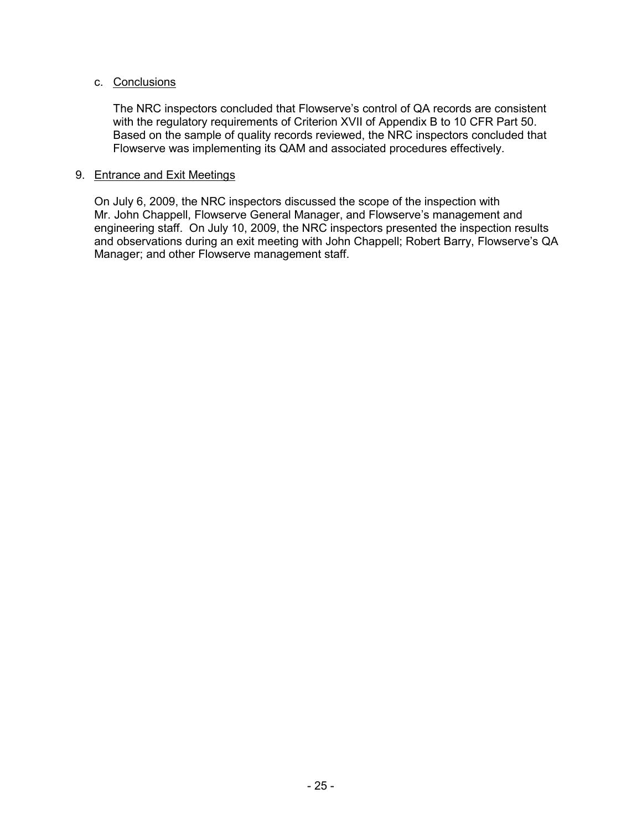## c. Conclusions

The NRC inspectors concluded that Flowserve's control of QA records are consistent with the regulatory requirements of Criterion XVII of Appendix B to 10 CFR Part 50. Based on the sample of quality records reviewed, the NRC inspectors concluded that Flowserve was implementing its QAM and associated procedures effectively.

### 9. Entrance and Exit Meetings

On July 6, 2009, the NRC inspectors discussed the scope of the inspection with Mr. John Chappell, Flowserve General Manager, and Flowserve's management and engineering staff. On July 10, 2009, the NRC inspectors presented the inspection results and observations during an exit meeting with John Chappell; Robert Barry, Flowserve's QA Manager; and other Flowserve management staff.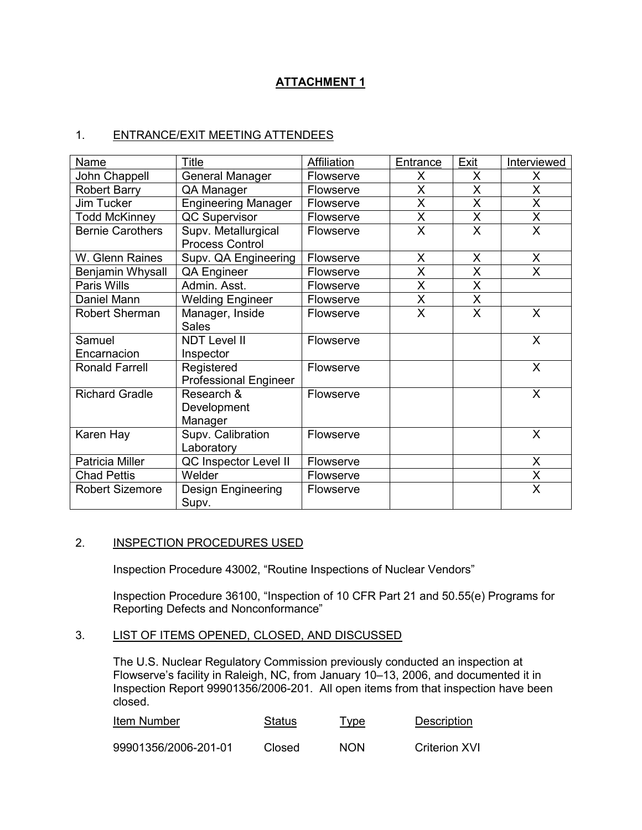# **ATTACHMENT 1**

## 1. ENTRANCE/EXIT MEETING ATTENDEES

| Name                    | Title                                         | Affiliation      | Entrance                | Exit                    | Interviewed             |
|-------------------------|-----------------------------------------------|------------------|-------------------------|-------------------------|-------------------------|
| John Chappell           | <b>General Manager</b>                        | Flowserve        | X                       | X                       | X.                      |
| <b>Robert Barry</b>     | QA Manager                                    | Flowserve        | X                       | X                       | X                       |
| Jim Tucker              | <b>Engineering Manager</b>                    | Flowserve        | X                       | X                       | $\overline{\mathsf{x}}$ |
| <b>Todd McKinney</b>    | <b>QC Supervisor</b>                          | Flowserve        | X                       | X                       | X                       |
| <b>Bernie Carothers</b> | Supv. Metallurgical<br><b>Process Control</b> | Flowserve        | X                       | X                       | X                       |
| W. Glenn Raines         | Supv. QA Engineering                          | Flowserve        | X                       | X                       | X                       |
| Benjamin Whysall        | <b>QA Engineer</b>                            | Flowserve        | X                       | X                       | X                       |
| Paris Wills             | Admin. Asst.                                  | Flowserve        | X                       | X                       |                         |
| Daniel Mann             | <b>Welding Engineer</b>                       | Flowserve        | X                       | X                       |                         |
| Robert Sherman          | Manager, Inside<br><b>Sales</b>               | <b>Flowserve</b> | $\overline{\mathsf{x}}$ | $\overline{\mathsf{x}}$ | $\mathsf{X}$            |
| Samuel<br>Encarnacion   | <b>NDT Level II</b>                           | Flowserve        |                         |                         | $\mathsf{X}$            |
|                         | Inspector                                     |                  |                         |                         |                         |
| <b>Ronald Farrell</b>   | Registered<br><b>Professional Engineer</b>    | Flowserve        |                         |                         | X                       |
| <b>Richard Gradle</b>   | Research &<br>Development<br>Manager          | <b>Flowserve</b> |                         |                         | X                       |
| Karen Hay               | Supv. Calibration<br>Laboratory               | <b>Flowserve</b> |                         |                         | X                       |
| Patricia Miller         | QC Inspector Level II                         | Flowserve        |                         |                         | X                       |
| <b>Chad Pettis</b>      | Welder                                        | Flowserve        |                         |                         | $\mathsf{X}$            |
| <b>Robert Sizemore</b>  | <b>Design Engineering</b><br>Supv.            | Flowserve        |                         |                         | X                       |

### 2. **INSPECTION PROCEDURES USED**

Inspection Procedure 43002, "Routine Inspections of Nuclear Vendors"

Inspection Procedure 36100, "Inspection of 10 CFR Part 21 and 50.55(e) Programs for Reporting Defects and Nonconformance"

## 3. LIST OF ITEMS OPENED, CLOSED, AND DISCUSSED

The U.S. Nuclear Regulatory Commission previously conducted an inspection at Flowserve's facility in Raleigh, NC, from January 10–13, 2006, and documented it in Inspection Report 99901356/2006-201. All open items from that inspection have been closed.

| Item Number          | Status | <u>Type</u> | <b>Description</b> |
|----------------------|--------|-------------|--------------------|
| 99901356/2006-201-01 | Closed | <b>NON</b>  | Criterion XVI      |